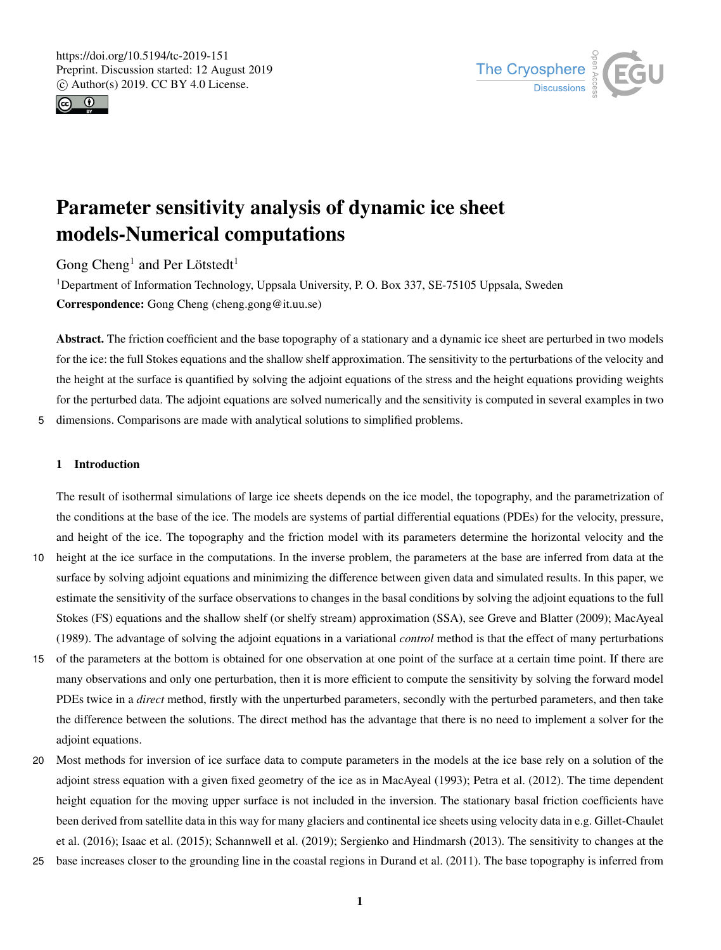



# Parameter sensitivity analysis of dynamic ice sheet models-Numerical computations

Gong Cheng<sup>1</sup> and Per Lötstedt<sup>1</sup>

<sup>1</sup>Department of Information Technology, Uppsala University, P. O. Box 337, SE-75105 Uppsala, Sweden Correspondence: Gong Cheng (cheng.gong@it.uu.se)

Abstract. The friction coefficient and the base topography of a stationary and a dynamic ice sheet are perturbed in two models for the ice: the full Stokes equations and the shallow shelf approximation. The sensitivity to the perturbations of the velocity and the height at the surface is quantified by solving the adjoint equations of the stress and the height equations providing weights for the perturbed data. The adjoint equations are solved numerically and the sensitivity is computed in several examples in two 5 dimensions. Comparisons are made with analytical solutions to simplified problems.

# 1 Introduction

The result of isothermal simulations of large ice sheets depends on the ice model, the topography, and the parametrization of the conditions at the base of the ice. The models are systems of partial differential equations (PDEs) for the velocity, pressure, and height of the ice. The topography and the friction model with its parameters determine the horizontal velocity and the

- 10 height at the ice surface in the computations. In the inverse problem, the parameters at the base are inferred from data at the surface by solving adjoint equations and minimizing the difference between given data and simulated results. In this paper, we estimate the sensitivity of the surface observations to changes in the basal conditions by solving the adjoint equations to the full Stokes (FS) equations and the shallow shelf (or shelfy stream) approximation (SSA), see Greve and Blatter (2009); MacAyeal (1989). The advantage of solving the adjoint equations in a variational *control* method is that the effect of many perturbations
- 15 of the parameters at the bottom is obtained for one observation at one point of the surface at a certain time point. If there are many observations and only one perturbation, then it is more efficient to compute the sensitivity by solving the forward model PDEs twice in a *direct* method, firstly with the unperturbed parameters, secondly with the perturbed parameters, and then take the difference between the solutions. The direct method has the advantage that there is no need to implement a solver for the adjoint equations.
- 20 Most methods for inversion of ice surface data to compute parameters in the models at the ice base rely on a solution of the adjoint stress equation with a given fixed geometry of the ice as in MacAyeal (1993); Petra et al. (2012). The time dependent height equation for the moving upper surface is not included in the inversion. The stationary basal friction coefficients have been derived from satellite data in this way for many glaciers and continental ice sheets using velocity data in e.g. Gillet-Chaulet et al. (2016); Isaac et al. (2015); Schannwell et al. (2019); Sergienko and Hindmarsh (2013). The sensitivity to changes at the
- 25 base increases closer to the grounding line in the coastal regions in Durand et al. (2011). The base topography is inferred from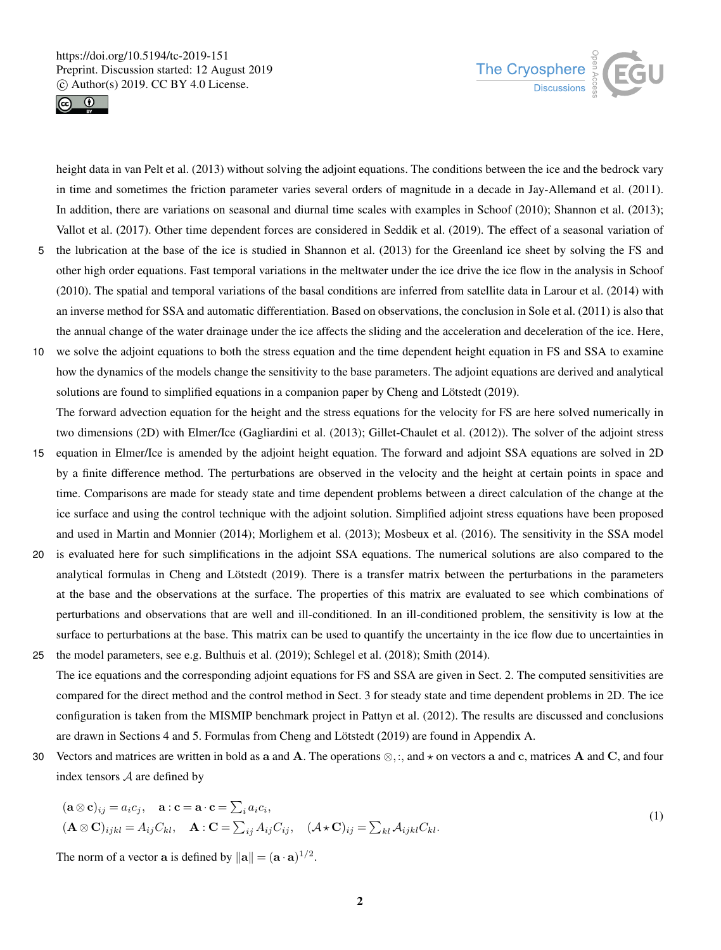



height data in van Pelt et al. (2013) without solving the adjoint equations. The conditions between the ice and the bedrock vary in time and sometimes the friction parameter varies several orders of magnitude in a decade in Jay-Allemand et al. (2011). In addition, there are variations on seasonal and diurnal time scales with examples in Schoof (2010); Shannon et al. (2013); Vallot et al. (2017). Other time dependent forces are considered in Seddik et al. (2019). The effect of a seasonal variation of

- 5 the lubrication at the base of the ice is studied in Shannon et al. (2013) for the Greenland ice sheet by solving the FS and other high order equations. Fast temporal variations in the meltwater under the ice drive the ice flow in the analysis in Schoof (2010). The spatial and temporal variations of the basal conditions are inferred from satellite data in Larour et al. (2014) with an inverse method for SSA and automatic differentiation. Based on observations, the conclusion in Sole et al. (2011) is also that the annual change of the water drainage under the ice affects the sliding and the acceleration and deceleration of the ice. Here,
- 10 we solve the adjoint equations to both the stress equation and the time dependent height equation in FS and SSA to examine how the dynamics of the models change the sensitivity to the base parameters. The adjoint equations are derived and analytical solutions are found to simplified equations in a companion paper by Cheng and Lötstedt (2019). The forward advection equation for the height and the stress equations for the velocity for FS are here solved numerically in
- two dimensions (2D) with Elmer/Ice (Gagliardini et al. (2013); Gillet-Chaulet et al. (2012)). The solver of the adjoint stress 15 equation in Elmer/Ice is amended by the adjoint height equation. The forward and adjoint SSA equations are solved in 2D by a finite difference method. The perturbations are observed in the velocity and the height at certain points in space and time. Comparisons are made for steady state and time dependent problems between a direct calculation of the change at the
- ice surface and using the control technique with the adjoint solution. Simplified adjoint stress equations have been proposed and used in Martin and Monnier (2014); Morlighem et al. (2013); Mosbeux et al. (2016). The sensitivity in the SSA model 20 is evaluated here for such simplifications in the adjoint SSA equations. The numerical solutions are also compared to the
- analytical formulas in Cheng and Lötstedt (2019). There is a transfer matrix between the perturbations in the parameters at the base and the observations at the surface. The properties of this matrix are evaluated to see which combinations of perturbations and observations that are well and ill-conditioned. In an ill-conditioned problem, the sensitivity is low at the surface to perturbations at the base. This matrix can be used to quantify the uncertainty in the ice flow due to uncertainties in
- 25 the model parameters, see e.g. Bulthuis et al. (2019); Schlegel et al. (2018); Smith (2014). The ice equations and the corresponding adjoint equations for FS and SSA are given in Sect. 2. The computed sensitivities are compared for the direct method and the control method in Sect. 3 for steady state and time dependent problems in 2D. The ice configuration is taken from the MISMIP benchmark project in Pattyn et al. (2012). The results are discussed and conclusions are drawn in Sections 4 and 5. Formulas from Cheng and Lötstedt (2019) are found in Appendix A.
- 30 Vectors and matrices are written in bold as a and A. The operations  $\otimes$ ,:, and  $\star$  on vectors a and c, matrices A and C, and four index tensors A are defined by

$$
(\mathbf{a} \otimes \mathbf{c})_{ij} = a_i c_j, \quad \mathbf{a} : \mathbf{c} = \mathbf{a} \cdot \mathbf{c} = \sum_i a_i c_i,
$$
  
\n
$$
(\mathbf{A} \otimes \mathbf{C})_{ijkl} = A_{ij} C_{kl}, \quad \mathbf{A} : \mathbf{C} = \sum_{ij} A_{ij} C_{ij}, \quad (\mathbf{A} \star \mathbf{C})_{ij} = \sum_{kl} A_{ijkl} C_{kl}.
$$
\n(1)

The norm of a vector **a** is defined by  $\|\mathbf{a}\| = (\mathbf{a} \cdot \mathbf{a})^{1/2}$ .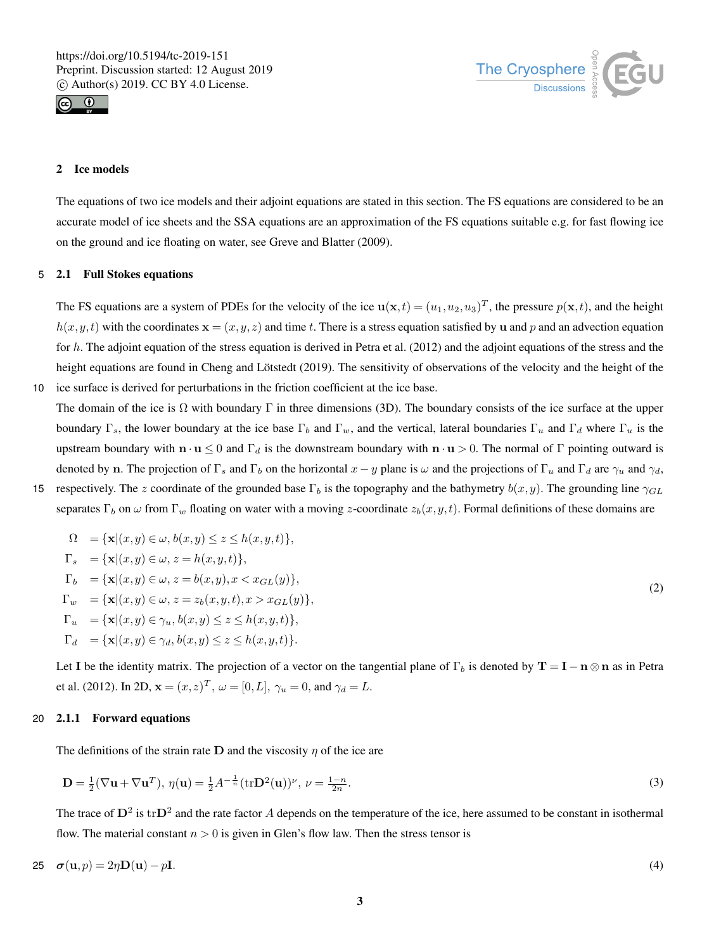



# 2 Ice models

The equations of two ice models and their adjoint equations are stated in this section. The FS equations are considered to be an accurate model of ice sheets and the SSA equations are an approximation of the FS equations suitable e.g. for fast flowing ice on the ground and ice floating on water, see Greve and Blatter (2009).

# 5 2.1 Full Stokes equations

The FS equations are a system of PDEs for the velocity of the ice  $\mathbf{u}(\mathbf{x},t) = (u_1, u_2, u_3)^T$ , the pressure  $p(\mathbf{x},t)$ , and the height  $h(x, y, t)$  with the coordinates  $\mathbf{x} = (x, y, z)$  and time t. There is a stress equation satisfied by u and p and an advection equation for h. The adjoint equation of the stress equation is derived in Petra et al. (2012) and the adjoint equations of the stress and the height equations are found in Cheng and Lötstedt (2019). The sensitivity of observations of the velocity and the height of the 10 ice surface is derived for perturbations in the friction coefficient at the ice base.

The domain of the ice is  $\Omega$  with boundary  $\Gamma$  in three dimensions (3D). The boundary consists of the ice surface at the upper boundary Γ<sub>s</sub>, the lower boundary at the ice base Γ<sub>b</sub> and Γ<sub>w</sub>, and the vertical, lateral boundaries Γ<sub>u</sub> and Γ<sub>d</sub> where Γ<sub>u</sub> is the upstream boundary with  $\mathbf{n} \cdot \mathbf{u} \le 0$  and  $\Gamma_d$  is the downstream boundary with  $\mathbf{n} \cdot \mathbf{u} > 0$ . The normal of  $\Gamma$  pointing outward is denoted by n. The projection of  $\Gamma_s$  and  $\Gamma_b$  on the horizontal  $x - y$  plane is  $\omega$  and the projections of  $\Gamma_u$  and  $\Gamma_d$  are  $\gamma_u$  and  $\gamma_d$ ,

15 respectively. The z coordinate of the grounded base  $\Gamma_b$  is the topography and the bathymetry  $b(x,y)$ . The grounding line  $\gamma_{GL}$ separates Γ<sub>b</sub> on  $\omega$  from Γ<sub>w</sub> floating on water with a moving z-coordinate  $z_b(x, y, t)$ . Formal definitions of these domains are

$$
\Omega = \{ \mathbf{x} | (x, y) \in \omega, b(x, y) \le z \le h(x, y, t) \},
$$
  
\n
$$
\Gamma_s = \{ \mathbf{x} | (x, y) \in \omega, z = h(x, y, t) \},
$$
  
\n
$$
\Gamma_b = \{ \mathbf{x} | (x, y) \in \omega, z = b(x, y), x < x_{GL}(y) \},
$$
  
\n
$$
\Gamma_w = \{ \mathbf{x} | (x, y) \in \omega, z = z_b(x, y, t), x > x_{GL}(y) \},
$$
  
\n
$$
\Gamma_u = \{ \mathbf{x} | (x, y) \in \gamma_u, b(x, y) \le z \le h(x, y, t) \},
$$
  
\n
$$
\Gamma_d = \{ \mathbf{x} | (x, y) \in \gamma_d, b(x, y) \le z \le h(x, y, t) \}.
$$
\n(2)

Let I be the identity matrix. The projection of a vector on the tangential plane of  $\Gamma_b$  is denoted by  $T = I - n \otimes n$  as in Petra et al. (2012). In 2D,  $\mathbf{x} = (x, z)^T$ ,  $\omega = [0, L]$ ,  $\gamma_u = 0$ , and  $\gamma_d = L$ .

#### 20 2.1.1 Forward equations

The definitions of the strain rate  $D$  and the viscosity  $\eta$  of the ice are

$$
\mathbf{D} = \frac{1}{2} (\nabla \mathbf{u} + \nabla \mathbf{u}^T), \ \eta(\mathbf{u}) = \frac{1}{2} A^{-\frac{1}{n}} (\text{tr} \mathbf{D}^2(\mathbf{u}))^\nu, \ \nu = \frac{1-n}{2n}.
$$

The trace of  $D^2$  is  $trD^2$  and the rate factor A depends on the temperature of the ice, here assumed to be constant in isothermal flow. The material constant  $n > 0$  is given in Glen's flow law. Then the stress tensor is

$$
25 \quad \sigma(\mathbf{u},p) = 2\eta \mathbf{D}(\mathbf{u}) - p\mathbf{I}.\tag{4}
$$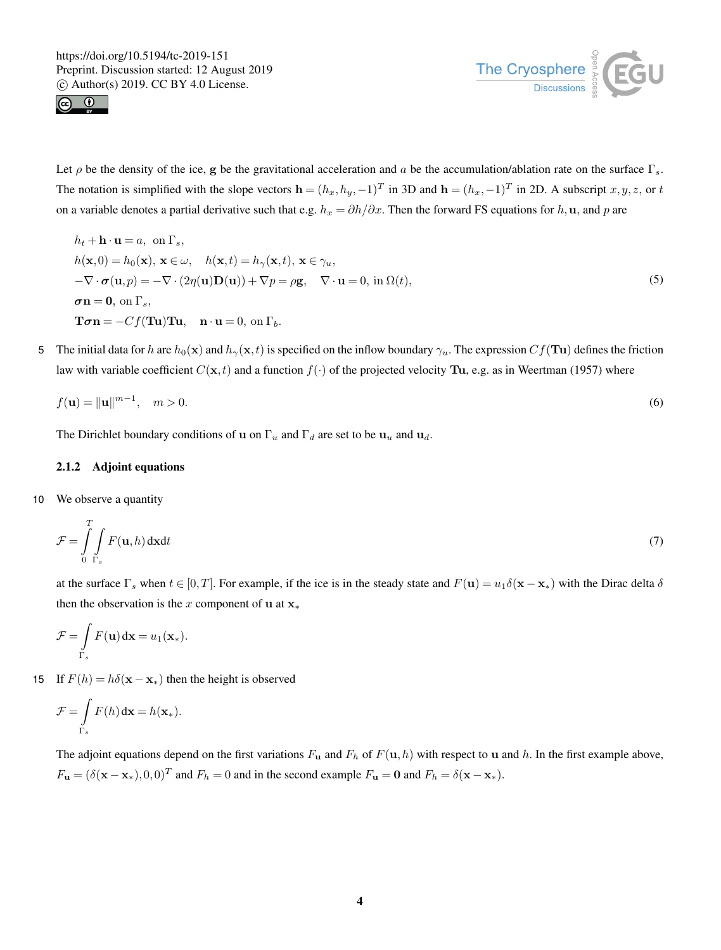



Let  $\rho$  be the density of the ice, g be the gravitational acceleration and a be the accumulation/ablation rate on the surface  $\Gamma_s$ . The notation is simplified with the slope vectors  $\mathbf{h} = (h_x, h_y, -1)^T$  in 3D and  $\mathbf{h} = (h_x, -1)^T$  in 2D. A subscript  $x, y, z$ , or t on a variable denotes a partial derivative such that e.g.  $h_x = \partial h/\partial x$ . Then the forward FS equations for h, u, and p are

- $h_t$  + **h** · **u** = *a*, on  $\Gamma_s$ ,  $h(\mathbf{x},0) = h_0(\mathbf{x}), \mathbf{x} \in \omega, \quad h(\mathbf{x},t) = h_\gamma(\mathbf{x},t), \mathbf{x} \in \gamma_u,$  $-\nabla \cdot \boldsymbol{\sigma}(\mathbf{u},p) = -\nabla \cdot (2\eta(\mathbf{u})\mathbf{D}(\mathbf{u})) + \nabla p = \rho \mathbf{g}, \quad \nabla \cdot \mathbf{u} = 0$ , in  $\Omega(t)$ ,  $\sigma$ n = 0, on  $\Gamma_s$ ,  $\mathbf{T}\boldsymbol{\sigma}\mathbf{n} = -Cf(\mathbf{T}\mathbf{u})\mathbf{T}\mathbf{u}, \quad \mathbf{n} \cdot \mathbf{u} = 0, \text{ on } \Gamma_b.$ (5)
- 5 The initial data for h are  $h_0(\mathbf{x})$  and  $h_\gamma(\mathbf{x}, t)$  is specified on the inflow boundary  $\gamma_u$ . The expression  $Cf(\mathbf{T}u)$  defines the friction law with variable coefficient  $C(\mathbf{x}, t)$  and a function  $f(\cdot)$  of the projected velocity **Tu**, e.g. as in Weertman (1957) where

$$
f(\mathbf{u}) = \|\mathbf{u}\|^{m-1}, \quad m > 0.
$$
 (6)

The Dirichlet boundary conditions of **u** on  $\Gamma_u$  and  $\Gamma_d$  are set to be  $\mathbf{u}_u$  and  $\mathbf{u}_d$ .

# 2.1.2 Adjoint equations

10 We observe a quantity

$$
\mathcal{F} = \int_{0}^{T} \int_{\Gamma_s} F(\mathbf{u}, h) \, \mathrm{d}\mathbf{x} \mathrm{d}t \tag{7}
$$

at the surface  $\Gamma_s$  when  $t \in [0,T]$ . For example, if the ice is in the steady state and  $F(\mathbf{u}) = u_1 \delta(\mathbf{x} - \mathbf{x}_*)$  with the Dirac delta  $\delta$ then the observation is the x component of u at  $x_*$ 

$$
\mathcal{F} = \int\limits_{\Gamma_s} F(\mathbf{u}) \, \mathrm{d} \mathbf{x} = u_1(\mathbf{x}_*).
$$

15 If  $F(h) = h\delta(\mathbf{x} - \mathbf{x}_*)$  then the height is observed

$$
\mathcal{F} = \int\limits_{\Gamma_s} F(h) \, \mathrm{d} \mathbf{x} = h(\mathbf{x}_*).
$$

The adjoint equations depend on the first variations  $F_u$  and  $F_h$  of  $F(u,h)$  with respect to u and h. In the first example above,  $F_{\mathbf{u}} = (\delta(\mathbf{x} - \mathbf{x}_*), 0, 0)^T$  and  $F_h = 0$  and in the second example  $F_{\mathbf{u}} = \mathbf{0}$  and  $F_h = \delta(\mathbf{x} - \mathbf{x}_*).$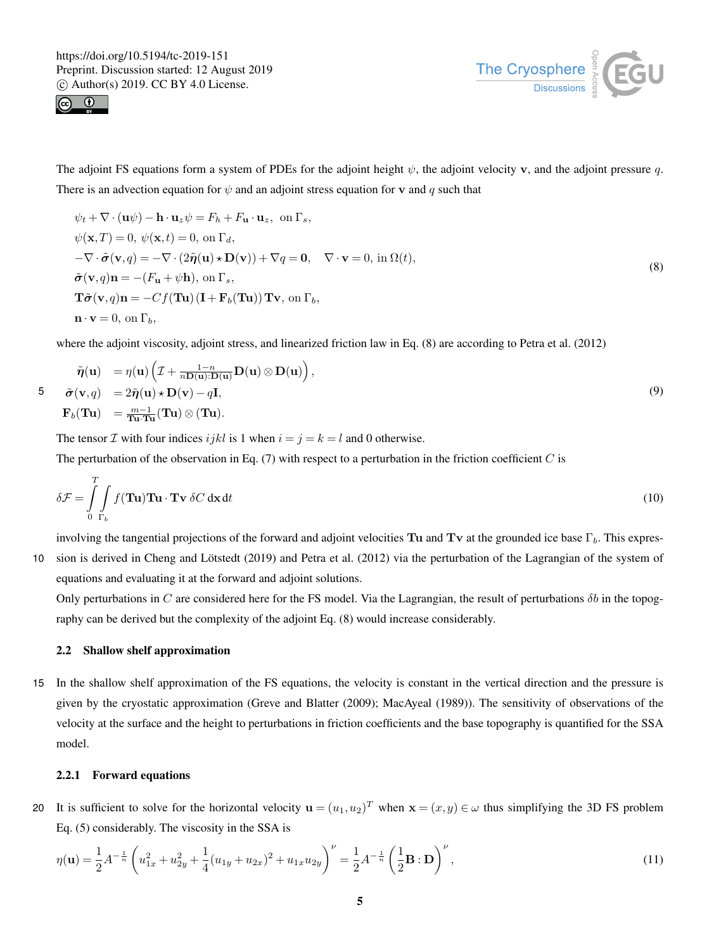



The adjoint FS equations form a system of PDEs for the adjoint height  $\psi$ , the adjoint velocity v, and the adjoint pressure q. There is an advection equation for  $\psi$  and an adjoint stress equation for **v** and q such that

$$
\psi_t + \nabla \cdot (\mathbf{u}\psi) - \mathbf{h} \cdot \mathbf{u}_z \psi = F_h + F_\mathbf{u} \cdot \mathbf{u}_z, \text{ on } \Gamma_s,
$$
  
\n
$$
\psi(\mathbf{x}, T) = 0, \ \psi(\mathbf{x}, t) = 0, \text{ on } \Gamma_d,
$$
  
\n
$$
-\nabla \cdot \tilde{\sigma}(\mathbf{v}, q) = -\nabla \cdot (2\tilde{\eta}(\mathbf{u}) \star \mathbf{D}(\mathbf{v})) + \nabla q = \mathbf{0}, \quad \nabla \cdot \mathbf{v} = 0, \text{ in } \Omega(t),
$$
  
\n
$$
\tilde{\sigma}(\mathbf{v}, q)\mathbf{n} = -(F_\mathbf{u} + \psi \mathbf{h}), \text{ on } \Gamma_s,
$$
  
\n
$$
\mathbf{T}\tilde{\sigma}(\mathbf{v}, q)\mathbf{n} = -C f(\mathbf{T} \mathbf{u}) (\mathbf{I} + \mathbf{F}_b(\mathbf{T} \mathbf{u})) \mathbf{T} \mathbf{v}, \text{ on } \Gamma_b,
$$
  
\n
$$
\mathbf{n} \cdot \mathbf{v} = 0, \text{ on } \Gamma_b,
$$
  
\n(8)

where the adjoint viscosity, adjoint stress, and linearized friction law in Eq. (8) are according to Petra et al. (2012)

$$
\tilde{\eta}(\mathbf{u}) = \eta(\mathbf{u}) \left( \mathcal{I} + \frac{1-n}{n\mathbf{D}(\mathbf{u}) \cdot \mathbf{D}(\mathbf{u})} \mathbf{D}(\mathbf{u}) \otimes \mathbf{D}(\mathbf{u}) \right),
$$
  
\n5  $\tilde{\sigma}(\mathbf{v}, q) = 2\tilde{\eta}(\mathbf{u}) \star \mathbf{D}(\mathbf{v}) - q\mathbf{I},$   
\n $\mathbf{F}_b(\mathbf{T}\mathbf{u}) = \frac{m-1}{\mathbf{T}\mathbf{u} \cdot \mathbf{T}\mathbf{u}}(\mathbf{T}\mathbf{u}) \otimes (\mathbf{T}\mathbf{u}).$ \n(9)

The tensor *I* with four indices ijkl is 1 when  $i = j = k = l$  and 0 otherwise. The perturbation of the observation in Eq.  $(7)$  with respect to a perturbation in the friction coefficient C is

$$
\delta \mathcal{F} = \int_{0}^{T} \int_{\Gamma_b} f(\mathbf{T} \mathbf{u}) \mathbf{T} \mathbf{u} \cdot \mathbf{T} \mathbf{v} \, \delta C \, \mathrm{d}\mathbf{x} \, \mathrm{d}t \tag{10}
$$

involving the tangential projections of the forward and adjoint velocities Tu and Tv at the grounded ice base  $\Gamma_b$ . This expres-10 sion is derived in Cheng and Lötstedt (2019) and Petra et al. (2012) via the perturbation of the Lagrangian of the system of equations and evaluating it at the forward and adjoint solutions.

Only perturbations in C are considered here for the FS model. Via the Lagrangian, the result of perturbations  $\delta b$  in the topography can be derived but the complexity of the adjoint Eq. (8) would increase considerably.

#### 2.2 Shallow shelf approximation

15 In the shallow shelf approximation of the FS equations, the velocity is constant in the vertical direction and the pressure is given by the cryostatic approximation (Greve and Blatter (2009); MacAyeal (1989)). The sensitivity of observations of the velocity at the surface and the height to perturbations in friction coefficients and the base topography is quantified for the SSA model.

# 2.2.1 Forward equations

20 It is sufficient to solve for the horizontal velocity  $\mathbf{u} = (u_1, u_2)^T$  when  $\mathbf{x} = (x, y) \in \omega$  thus simplifying the 3D FS problem Eq. (5) considerably. The viscosity in the SSA is

$$
\eta(\mathbf{u}) = \frac{1}{2} A^{-\frac{1}{n}} \left( u_{1x}^2 + u_{2y}^2 + \frac{1}{4} (u_{1y} + u_{2x})^2 + u_{1x} u_{2y} \right)^{\nu} = \frac{1}{2} A^{-\frac{1}{n}} \left( \frac{1}{2} \mathbf{B} : \mathbf{D} \right)^{\nu},\tag{11}
$$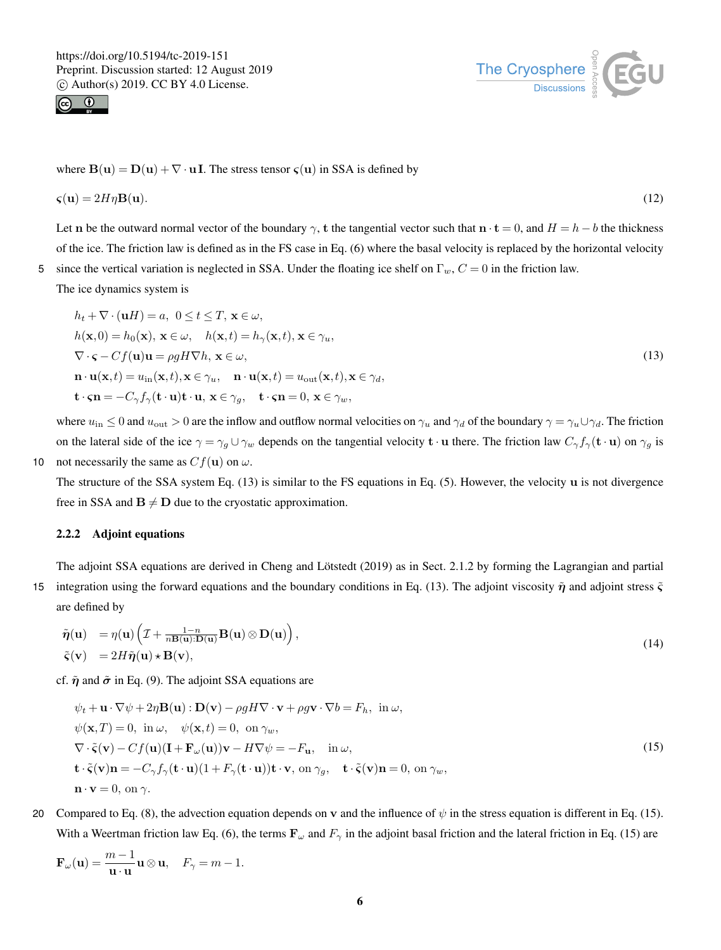



where  $B(u) = D(u) + \nabla \cdot uI$ . The stress tensor  $\varsigma(u)$  in SSA is defined by

$$
\boldsymbol{\varsigma}(\mathbf{u}) = 2H\eta \mathbf{B}(\mathbf{u}).\tag{12}
$$

Let n be the outward normal vector of the boundary  $\gamma$ , t the tangential vector such that  $n \cdot t = 0$ , and  $H = h - b$  the thickness of the ice. The friction law is defined as in the FS case in Eq. (6) where the basal velocity is replaced by the horizontal velocity 5 since the vertical variation is neglected in SSA. Under the floating ice shelf on  $\Gamma_w$ ,  $C = 0$  in the friction law.

The ice dynamics system is

$$
h_t + \nabla \cdot (\mathbf{u}H) = a, \ 0 \le t \le T, \ \mathbf{x} \in \omega,
$$
  
\n
$$
h(\mathbf{x}, 0) = h_0(\mathbf{x}), \ \mathbf{x} \in \omega, \quad h(\mathbf{x}, t) = h_\gamma(\mathbf{x}, t), \ \mathbf{x} \in \gamma_u,
$$
  
\n
$$
\nabla \cdot \mathbf{S} - Cf(\mathbf{u})\mathbf{u} = \rho g H \nabla h, \ \mathbf{x} \in \omega,
$$
  
\n
$$
\mathbf{n} \cdot \mathbf{u}(\mathbf{x}, t) = u_{\text{in}}(\mathbf{x}, t), \mathbf{x} \in \gamma_u, \quad \mathbf{n} \cdot \mathbf{u}(\mathbf{x}, t) = u_{\text{out}}(\mathbf{x}, t), \mathbf{x} \in \gamma_d,
$$
  
\n
$$
\mathbf{t} \cdot \mathbf{S} = -C_\gamma f_\gamma(\mathbf{t} \cdot \mathbf{u}) \mathbf{t} \cdot \mathbf{u}, \ \mathbf{x} \in \gamma_g, \quad \mathbf{t} \cdot \mathbf{S} = 0, \ \mathbf{x} \in \gamma_w,
$$
\n(13)

where  $u_{\text{in}} \leq 0$  and  $u_{\text{out}} > 0$  are the inflow and outflow normal velocities on  $\gamma_u$  and  $\gamma_d$  of the boundary  $\gamma = \gamma_u \cup \gamma_d$ . The friction on the lateral side of the ice  $\gamma = \gamma_g \cup \gamma_w$  depends on the tangential velocity  $\mathbf{t} \cdot \mathbf{u}$  there. The friction law  $C_{\gamma} f_{\gamma}(\mathbf{t} \cdot \mathbf{u})$  on  $\gamma_g$  is 10 not necessarily the same as  $Cf(\mathbf{u})$  on  $\omega$ .

The structure of the SSA system Eq. (13) is similar to the FS equations in Eq. (5). However, the velocity u is not divergence free in SSA and  $B \neq D$  due to the cryostatic approximation.

# 2.2.2 Adjoint equations

The adjoint SSA equations are derived in Cheng and Lötstedt (2019) as in Sect. 2.1.2 by forming the Lagrangian and partial 15 integration using the forward equations and the boundary conditions in Eq. (13). The adjoint viscosity  $\tilde{\eta}$  and adjoint stress  $\tilde{\zeta}$ are defined by

$$
\tilde{\boldsymbol{\eta}}(\mathbf{u}) = \eta(\mathbf{u}) \left( \mathcal{I} + \frac{1 - n}{n \mathbf{B}(\mathbf{u}): \mathbf{D}(\mathbf{u})} \mathbf{B}(\mathbf{u}) \otimes \mathbf{D}(\mathbf{u}) \right),\n\tilde{\boldsymbol{\varsigma}}(\mathbf{v}) = 2H\tilde{\boldsymbol{\eta}}(\mathbf{u}) \star \mathbf{B}(\mathbf{v}),
$$
\n(14)

cf.  $\tilde{\eta}$  and  $\tilde{\sigma}$  in Eq. (9). The adjoint SSA equations are

$$
\psi_t + \mathbf{u} \cdot \nabla \psi + 2\eta \mathbf{B}(\mathbf{u}) : \mathbf{D}(\mathbf{v}) - \rho g H \nabla \cdot \mathbf{v} + \rho g \mathbf{v} \cdot \nabla b = F_h, \text{ in } \omega,
$$
  
\n
$$
\psi(\mathbf{x}, T) = 0, \text{ in } \omega, \quad \psi(\mathbf{x}, t) = 0, \text{ on } \gamma_w,
$$
  
\n
$$
\nabla \cdot \tilde{\mathbf{v}}(\mathbf{v}) - C f(\mathbf{u})(\mathbf{I} + \mathbf{F}_{\omega}(\mathbf{u}))\mathbf{v} - H \nabla \psi = -F_{\mathbf{u}}, \text{ in } \omega,
$$
  
\n
$$
\mathbf{t} \cdot \tilde{\mathbf{v}}(\mathbf{v})\mathbf{n} = -C_{\gamma} f_{\gamma}(\mathbf{t} \cdot \mathbf{u})(1 + F_{\gamma}(\mathbf{t} \cdot \mathbf{u}))\mathbf{t} \cdot \mathbf{v}, \text{ on } \gamma_g, \quad \mathbf{t} \cdot \tilde{\mathbf{v}}(\mathbf{v})\mathbf{n} = 0, \text{ on } \gamma_w,
$$
  
\n
$$
\mathbf{n} \cdot \mathbf{v} = 0, \text{ on } \gamma.
$$
 (15)

20 Compared to Eq. (8), the advection equation depends on v and the influence of  $\psi$  in the stress equation is different in Eq. (15). With a Weertman friction law Eq. (6), the terms  $\mathbf{F}_{\omega}$  and  $F_{\gamma}$  in the adjoint basal friction and the lateral friction in Eq. (15) are

$$
\mathbf{F}_{\omega}(\mathbf{u}) = \frac{m-1}{\mathbf{u} \cdot \mathbf{u}} \mathbf{u} \otimes \mathbf{u}, \quad F_{\gamma} = m-1.
$$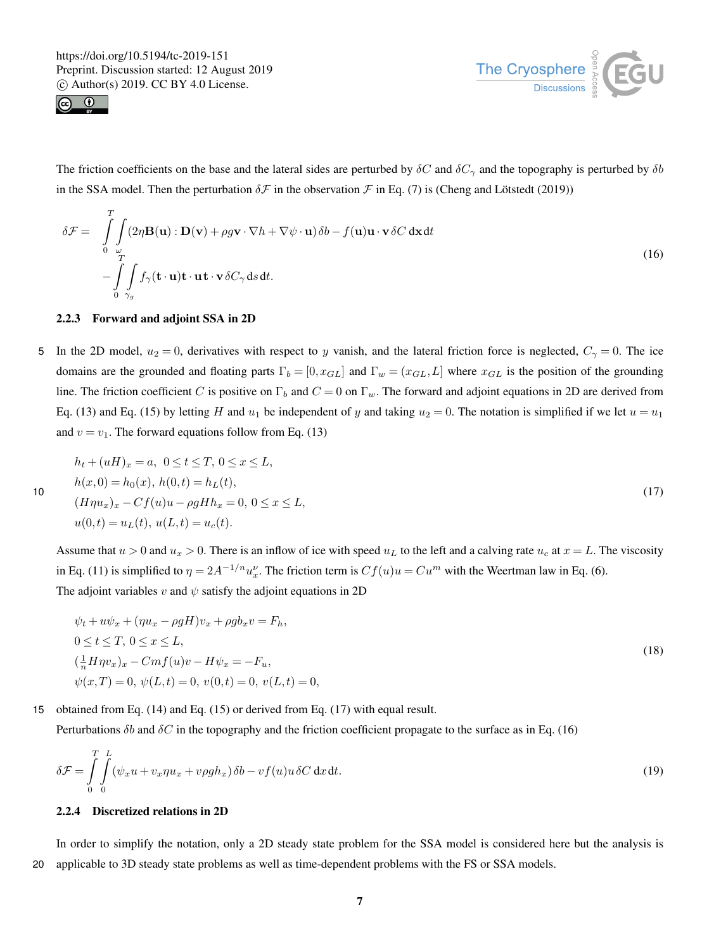



The friction coefficients on the base and the lateral sides are perturbed by  $\delta C$  and  $\delta C_{\gamma}$  and the topography is perturbed by  $\delta b$ in the SSA model. Then the perturbation  $\delta \mathcal{F}$  in the observation  $\mathcal{F}$  in Eq. (7) is (Cheng and Lötstedt (2019))

$$
\delta \mathcal{F} = \int_{0}^{T} \int_{\omega} (2\eta \mathbf{B}(\mathbf{u}) : \mathbf{D}(\mathbf{v}) + \rho g \mathbf{v} \cdot \nabla h + \nabla \psi \cdot \mathbf{u}) \delta b - f(\mathbf{u}) \mathbf{u} \cdot \mathbf{v} \delta C \, d\mathbf{x} dt - \int_{0}^{T} \int_{\gamma_g} f_{\gamma}(\mathbf{t} \cdot \mathbf{u}) \mathbf{t} \cdot \mathbf{u} \mathbf{t} \cdot \mathbf{v} \delta C_{\gamma} ds dt.
$$
 (16)

## 2.2.3 Forward and adjoint SSA in 2D

5 In the 2D model,  $u_2 = 0$ , derivatives with respect to y vanish, and the lateral friction force is neglected,  $C_\gamma = 0$ . The ice domains are the grounded and floating parts  $\Gamma_b = [0, x_{GL}]$  and  $\Gamma_w = (x_{GL}, L]$  where  $x_{GL}$  is the position of the grounding line. The friction coefficient C is positive on  $\Gamma_b$  and  $C = 0$  on  $\Gamma_w$ . The forward and adjoint equations in 2D are derived from Eq. (13) and Eq. (15) by letting H and  $u_1$  be independent of y and taking  $u_2 = 0$ . The notation is simplified if we let  $u = u_1$ and  $v = v_1$ . The forward equations follow from Eq. (13)

$$
h_t + (uH)_x = a, \ 0 \le t \le T, \ 0 \le x \le L,
$$
  
\n
$$
h(x, 0) = h_0(x), \ h(0, t) = h_L(t),
$$
  
\n
$$
(H\eta u_x)_x - Cf(u)u - \rho g H h_x = 0, \ 0 \le x \le L,
$$
  
\n
$$
u(0, t) = u_L(t), \ u(L, t) = u_c(t).
$$
\n(17)

Assume that  $u > 0$  and  $u_x > 0$ . There is an inflow of ice with speed  $u_L$  to the left and a calving rate  $u_c$  at  $x = L$ . The viscosity in Eq. (11) is simplified to  $\eta = 2A^{-1/n}u_x^{\nu}$ . The friction term is  $Cf(u)u = Cu^m$  with the Weertman law in Eq. (6). The adjoint variables v and  $\psi$  satisfy the adjoint equations in 2D

$$
\psi_t + u\psi_x + (\eta u_x - \rho g H)v_x + \rho g b_x v = F_h,\n0 \le t \le T, 0 \le x \le L,\n(\frac{1}{n} H \eta v_x)_x - Cmf(u)v - H\psi_x = -F_u,\n\psi(x,T) = 0, \psi(L,t) = 0, v(0,t) = 0, v(L,t) = 0,
$$
\n(18)

15 obtained from Eq. (14) and Eq. (15) or derived from Eq. (17) with equal result.

Perturbations  $\delta b$  and  $\delta C$  in the topography and the friction coefficient propagate to the surface as in Eq. (16)

$$
\delta \mathcal{F} = \int_{0}^{T} \int_{0}^{L} (\psi_x u + v_x \eta u_x + v \rho g h_x) \delta b - v f(u) u \delta C \, dx \, dt.
$$
\n(19)

#### 2.2.4 Discretized relations in 2D

In order to simplify the notation, only a 2D steady state problem for the SSA model is considered here but the analysis is 20 applicable to 3D steady state problems as well as time-dependent problems with the FS or SSA models.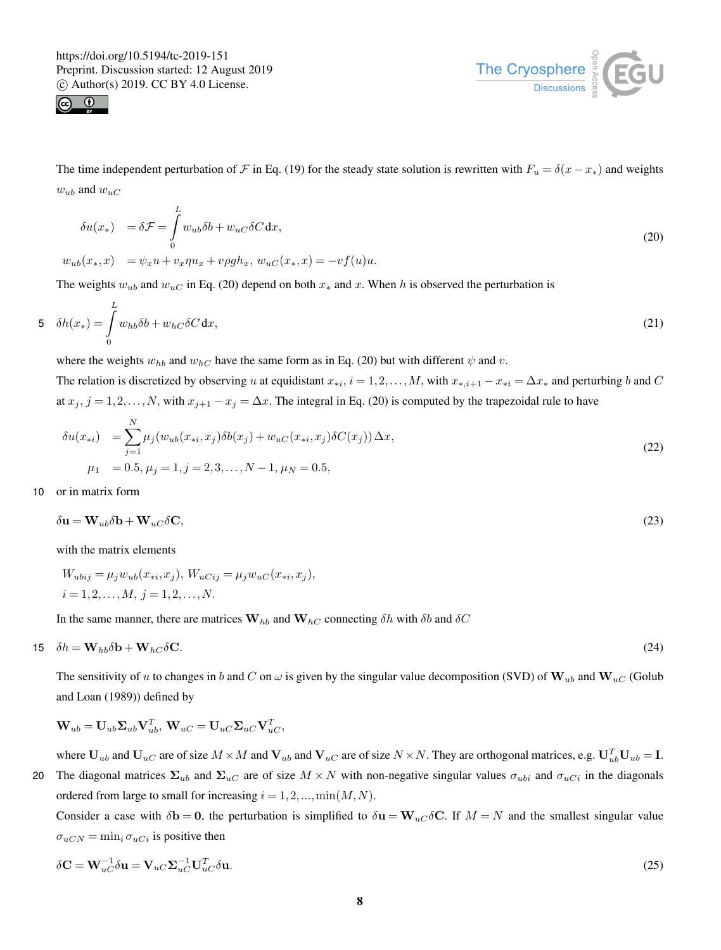



The time independent perturbation of F in Eq. (19) for the steady state solution is rewritten with  $F_u = \delta(x - x_*)$  and weights  $w_{ub}$  and  $w_{uc}$ 

$$
\delta u(x_*) = \delta \mathcal{F} = \int_0^L w_{ub} \delta b + w_{uc} \delta C \, dx,
$$
  
\n
$$
w_{ub}(x_*, x) = \psi_x u + v_x \eta u_x + v \rho g h_x, w_{uc}(x_*, x) = -v f(u) u.
$$
\n(20)

The weights  $w_{ub}$  and  $w_{uc}$  in Eq. (20) depend on both  $x_*$  and x. When h is observed the perturbation is

$$
5 \quad \delta h(x_*) = \int\limits_0^L w_{hb} \delta b + w_{hC} \delta C \, \mathrm{d}x,\tag{21}
$$

where the weights  $w_{hb}$  and  $w_{hc}$  have the same form as in Eq. (20) but with different  $\psi$  and  $v$ .

The relation is discretized by observing u at equidistant  $x_{*i}$ ,  $i = 1, 2, ..., M$ , with  $x_{*,i+1} - x_{*i} = \Delta x_*$  and perturbing b and C at  $x_j$ ,  $j = 1, 2, ..., N$ , with  $x_{j+1} - x_j = \Delta x$ . The integral in Eq. (20) is computed by the trapezoidal rule to have

$$
\delta u(x_{*i}) = \sum_{j=1}^{N} \mu_j(w_{ub}(x_{*i}, x_j) \delta b(x_j) + w_{uc}(x_{*i}, x_j) \delta C(x_j)) \Delta x,
$$
  
\n
$$
\mu_1 = 0.5, \mu_j = 1, j = 2, 3, ..., N - 1, \mu_N = 0.5,
$$
\n(22)

10 or in matrix form

$$
\delta \mathbf{u} = \mathbf{W}_{ub} \delta \mathbf{b} + \mathbf{W}_{uc} \delta \mathbf{C},\tag{23}
$$

with the matrix elements

$$
W_{ubij} = \mu_j w_{ub}(x_{*i}, x_j), W_{uCij} = \mu_j w_{uC}(x_{*i}, x_j),
$$
  

$$
i = 1, 2, ..., M, j = 1, 2, ..., N.
$$

In the same manner, there are matrices  $W_{hb}$  and  $W_{hc}$  connecting  $\delta h$  with  $\delta b$  and  $\delta C$ 

$$
15 \quad \delta h = \mathbf{W}_{hb}\delta \mathbf{b} + \mathbf{W}_{hc}\delta \mathbf{C}.\tag{24}
$$

The sensitivity of u to changes in b and C on  $\omega$  is given by the singular value decomposition (SVD) of  $W_{ub}$  and  $W_{uc}$  (Golub and Loan (1989)) defined by

$$
\mathbf{W}_{ub} = \mathbf{U}_{ub}\mathbf{\Sigma}_{ub}\mathbf{V}_{ub}^T,\, \mathbf{W}_{uC} = \mathbf{U}_{uC}\mathbf{\Sigma}_{uC}\mathbf{V}_{uC}^T,
$$

where  $U_{ub}$  and  $U_{uc}$  are of size  $M \times M$  and  $V_{ub}$  and  $V_{uc}$  are of size  $N \times N$ . They are orthogonal matrices, e.g.  $U_{ub}^T U_{ub} = I$ . 20 The diagonal matrices  $\Sigma_{ub}$  and  $\Sigma_{uc}$  are of size  $M \times N$  with non-negative singular values  $\sigma_{ubi}$  and  $\sigma_{uci}$  in the diagonals ordered from large to small for increasing  $i = 1, 2, ..., min(M, N)$ .

Consider a case with  $\delta$ **b** = 0, the perturbation is simplified to  $\delta$ **u** = W<sub>uC</sub> $\delta$ **C**. If  $M = N$  and the smallest singular value  $\sigma_{uCN} = \min_i \sigma_{uCi}$  is positive then

$$
\delta \mathbf{C} = \mathbf{W}_{uC}^{-1} \delta \mathbf{u} = \mathbf{V}_{uC} \mathbf{\Sigma}_{uC}^{-1} \mathbf{U}_{uC}^T \delta \mathbf{u}.
$$
\n(25)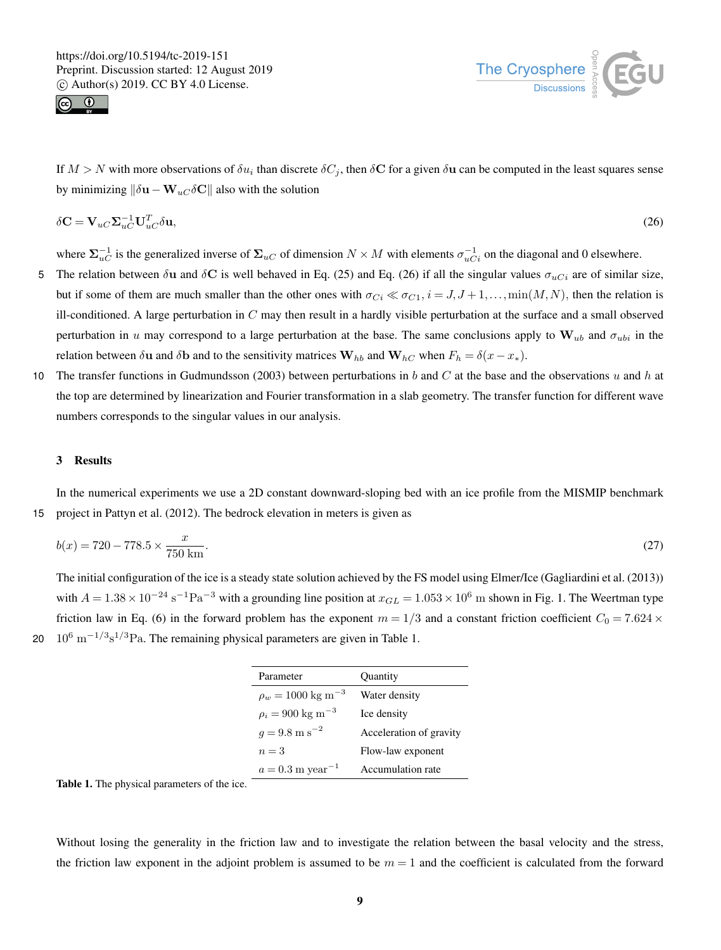



If  $M > N$  with more observations of  $\delta u_i$  than discrete  $\delta C_j$ , then  $\delta C$  for a given  $\delta u$  can be computed in the least squares sense by minimizing  $\|\delta \mathbf{u} - \mathbf{W}_{uC} \delta \mathbf{C}\|$  also with the solution

$$
\delta \mathbf{C} = \mathbf{V}_{uc} \mathbf{\Sigma}_{uc}^{-1} \mathbf{U}_{uc}^T \delta \mathbf{u},\tag{26}
$$

where  $\Sigma_{uC}^{-1}$  is the generalized inverse of  $\Sigma_{uC}$  of dimension  $N \times M$  with elements  $\sigma_{uC_i}^{-1}$  on the diagonal and 0 elsewhere.

- 5 The relation between δu and δC is well behaved in Eq. (25) and Eq. (26) if all the singular values  $σ_{uCi}$  are of similar size, but if some of them are much smaller than the other ones with  $\sigma_{Ci} \ll \sigma_{C1}$ ,  $i = J, J + 1, \ldots, \min(M, N)$ , then the relation is ill-conditioned. A large perturbation in  $C$  may then result in a hardly visible perturbation at the surface and a small observed perturbation in u may correspond to a large perturbation at the base. The same conclusions apply to  $W_{ub}$  and  $\sigma_{ubi}$  in the relation between  $\delta$ **u** and  $\delta$ **b** and to the sensitivity matrices  $\mathbf{W}_{hb}$  and  $\mathbf{W}_{hc}$  when  $F_h = \delta(x - x_*)$ .
- 10 The transfer functions in Gudmundsson (2003) between perturbations in b and C at the base and the observations u and h at the top are determined by linearization and Fourier transformation in a slab geometry. The transfer function for different wave numbers corresponds to the singular values in our analysis.

## 3 Results

In the numerical experiments we use a 2D constant downward-sloping bed with an ice profile from the MISMIP benchmark 15 project in Pattyn et al. (2012). The bedrock elevation in meters is given as

$$
b(x) = 720 - 778.5 \times \frac{x}{750 \text{ km}}.\tag{27}
$$

The initial configuration of the ice is a steady state solution achieved by the FS model using Elmer/Ice (Gagliardini et al. (2013)) with  $A = 1.38 \times 10^{-24} \text{ s}^{-1} \text{Pa}^{-3}$  with a grounding line position at  $x_{GL} = 1.053 \times 10^6 \text{ m}$  shown in Fig. 1. The Weertman type friction law in Eq. (6) in the forward problem has the exponent  $m = 1/3$  and a constant friction coefficient  $C_0 = 7.624 \times$ 20  $10^6 \text{ m}^{-1/3} \text{s}^{1/3}$  Pa. The remaining physical parameters are given in Table 1.

| Parameter                         | Quantity                |
|-----------------------------------|-------------------------|
| $\rho_w = 1000 \text{ kg m}^{-3}$ | Water density           |
| $\rho_i = 900 \text{ kg m}^{-3}$  | Ice density             |
| $q = 9.8 \text{ m s}^{-2}$        | Acceleration of gravity |
| $n=3$                             | Flow-law exponent       |
| $a = 0.3$ m year <sup>-1</sup>    | Accumulation rate       |

Table 1. The physical parameters of the ice.

Without losing the generality in the friction law and to investigate the relation between the basal velocity and the stress, the friction law exponent in the adjoint problem is assumed to be  $m = 1$  and the coefficient is calculated from the forward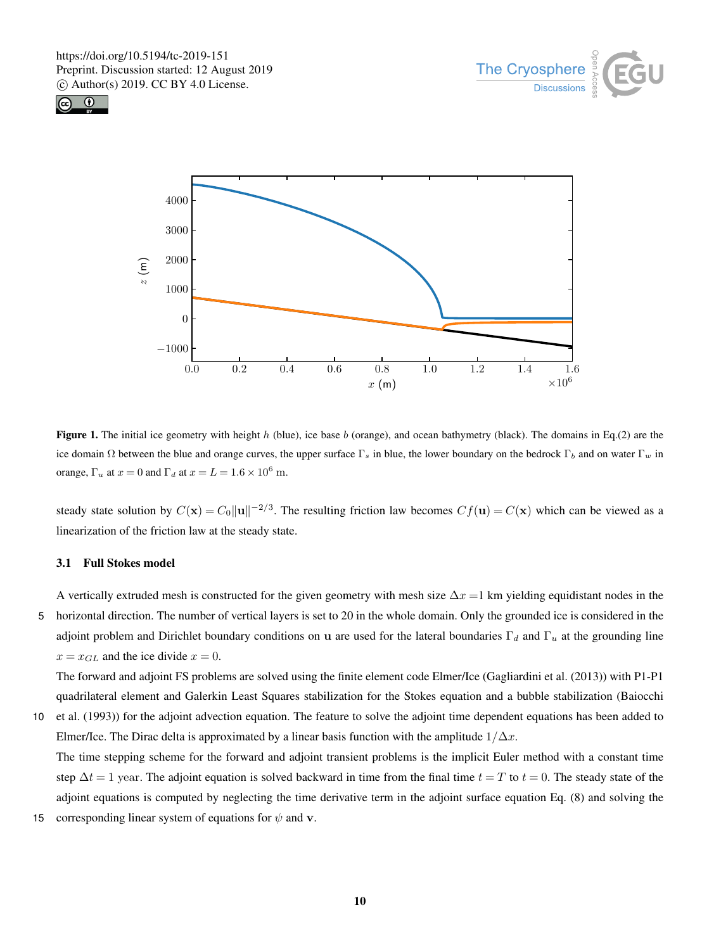





**Figure 1.** The initial ice geometry with height h (blue), ice base b (orange), and ocean bathymetry (black). The domains in Eq.(2) are the ice domain  $\Omega$  between the blue and orange curves, the upper surface  $\Gamma_s$  in blue, the lower boundary on the bedrock  $\Gamma_b$  and on water  $\Gamma_w$  in orange,  $\Gamma_u$  at  $x = 0$  and  $\Gamma_d$  at  $x = L = 1.6 \times 10^6$  m.

steady state solution by  $C(\mathbf{x}) = C_0 ||\mathbf{u}||^{-2/3}$ . The resulting friction law becomes  $Cf(\mathbf{u}) = C(\mathbf{x})$  which can be viewed as a linearization of the friction law at the steady state.

## 3.1 Full Stokes model

A vertically extruded mesh is constructed for the given geometry with mesh size  $\Delta x = 1$  km yielding equidistant nodes in the 5 horizontal direction. The number of vertical layers is set to 20 in the whole domain. Only the grounded ice is considered in the adjoint problem and Dirichlet boundary conditions on u are used for the lateral boundaries  $\Gamma_d$  and  $\Gamma_u$  at the grounding line  $x = x_{GL}$  and the ice divide  $x = 0$ .

The forward and adjoint FS problems are solved using the finite element code Elmer/Ice (Gagliardini et al. (2013)) with P1-P1 quadrilateral element and Galerkin Least Squares stabilization for the Stokes equation and a bubble stabilization (Baiocchi

10 et al. (1993)) for the adjoint advection equation. The feature to solve the adjoint time dependent equations has been added to Elmer/Ice. The Dirac delta is approximated by a linear basis function with the amplitude  $1/\Delta x$ .

The time stepping scheme for the forward and adjoint transient problems is the implicit Euler method with a constant time step  $\Delta t = 1$  year. The adjoint equation is solved backward in time from the final time  $t = T$  to  $t = 0$ . The steady state of the adjoint equations is computed by neglecting the time derivative term in the adjoint surface equation Eq. (8) and solving the

15 corresponding linear system of equations for  $\psi$  and v.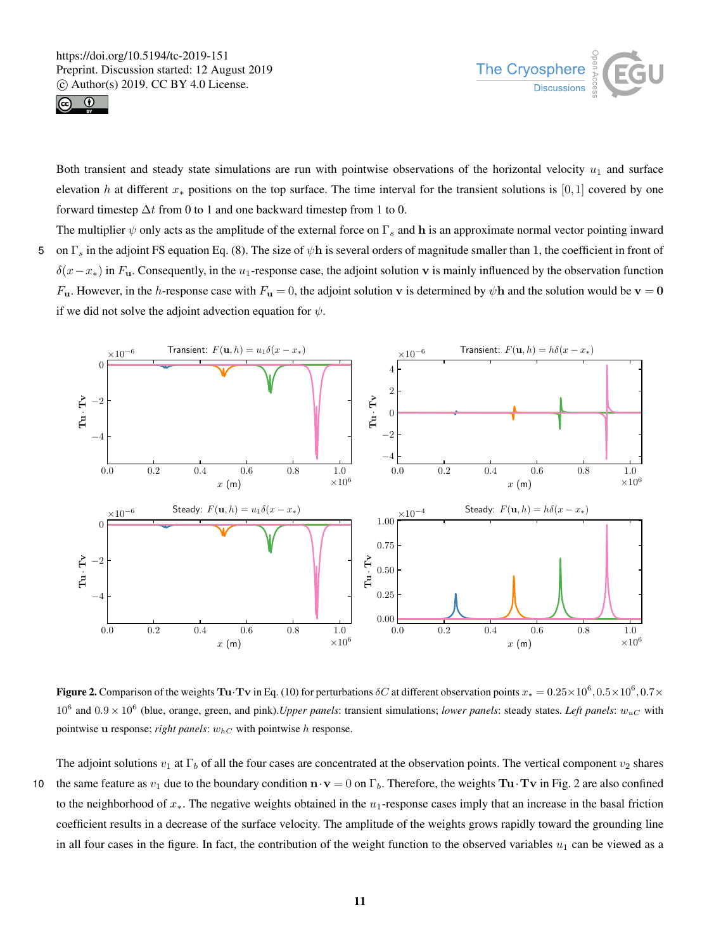



Both transient and steady state simulations are run with pointwise observations of the horizontal velocity  $u_1$  and surface elevation h at different  $x_*$  positions on the top surface. The time interval for the transient solutions is [0,1] covered by one forward timestep  $\Delta t$  from 0 to 1 and one backward timestep from 1 to 0.

The multiplier  $\psi$  only acts as the amplitude of the external force on  $\Gamma_s$  and h is an approximate normal vector pointing inward 5 on  $\Gamma_s$  in the adjoint FS equation Eq. (8). The size of  $\psi$ h is several orders of magnitude smaller than 1, the coefficient in front of  $\delta(x-x_*)$  in F<sub>u</sub>. Consequently, in the u<sub>1</sub>-response case, the adjoint solution v is mainly influenced by the observation function  $F_{\bf u}$ . However, in the *h*-response case with  $F_{\bf u}=0$ , the adjoint solution **v** is determined by  $\psi$ **h** and the solution would be **v** = **0** if we did not solve the adjoint advection equation for  $\psi$ .



**Figure 2.** Comparison of the weights **Tu·Tv** in Eq. (10) for perturbations  $\delta C$  at different observation points  $x_* = 0.25 \times 10^6, 0.5 \times 10^6, 0.7 \times$  $10^6$  and  $0.9 \times 10^6$  (blue, orange, green, and pink). *Upper panels*: transient simulations; *lower panels*: steady states. *Left panels*:  $w_{uC}$  with pointwise u response; *right panels*:  $w_{hC}$  with pointwise h response.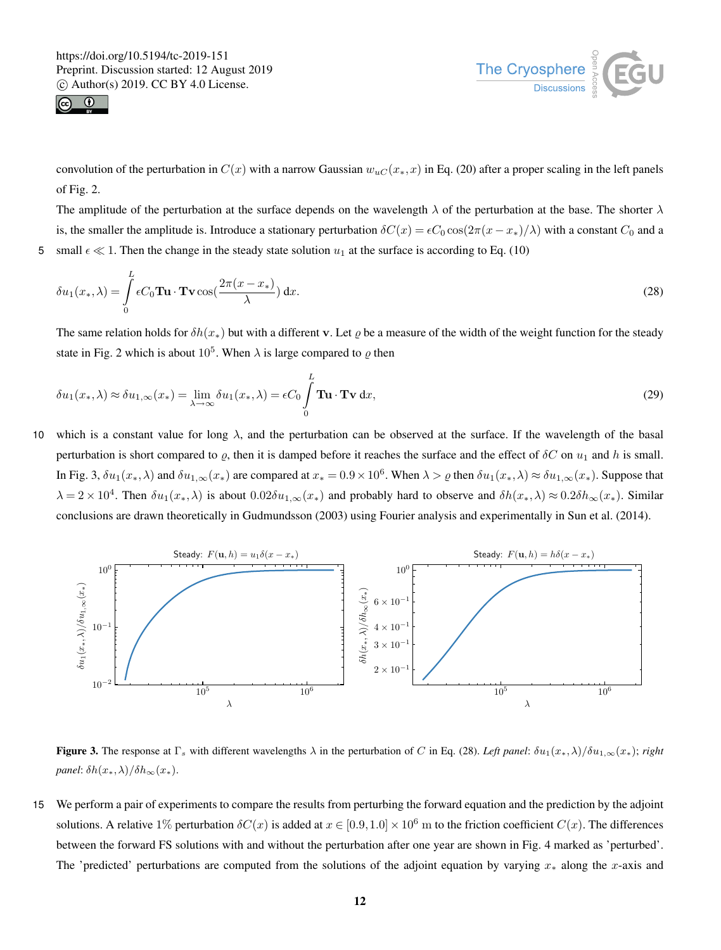



convolution of the perturbation in  $C(x)$  with a narrow Gaussian  $w_{uC}(x_*,x)$  in Eq. (20) after a proper scaling in the left panels of Fig. 2.

The amplitude of the perturbation at the surface depends on the wavelength  $\lambda$  of the perturbation at the base. The shorter  $\lambda$ is, the smaller the amplitude is. Introduce a stationary perturbation  $\delta C(x) = \epsilon C_0 \cos(2\pi(x - x_*)/\lambda)$  with a constant  $C_0$  and a 5 small  $\epsilon \ll 1$ . Then the change in the steady state solution  $u_1$  at the surface is according to Eq. (10)

$$
\delta u_1(x_*,\lambda) = \int_0^L \epsilon C_0 \mathbf{T} \mathbf{u} \cdot \mathbf{T} \mathbf{v} \cos(\frac{2\pi(x - x_*)}{\lambda}) dx.
$$
 (28)

The same relation holds for  $\delta h(x_*)$  but with a different v. Let  $\varrho$  be a measure of the width of the weight function for the steady state in Fig. 2 which is about  $10^5$ . When  $\lambda$  is large compared to  $\varrho$  then

$$
\delta u_1(x_*,\lambda) \approx \delta u_{1,\infty}(x_*) = \lim_{\lambda \to \infty} \delta u_1(x_*,\lambda) = \epsilon C_0 \int_0^L \mathbf{T} \mathbf{u} \cdot \mathbf{T} \mathbf{v} \, \mathrm{d}x,\tag{29}
$$

10 which is a constant value for long  $\lambda$ , and the perturbation can be observed at the surface. If the wavelength of the basal perturbation is short compared to  $\varrho$ , then it is damped before it reaches the surface and the effect of  $\delta C$  on  $u_1$  and h is small. In Fig. 3,  $\delta u_1(x_*,\lambda)$  and  $\delta u_{1,\infty}(x_*)$  are compared at  $x_* = 0.9 \times 10^6$ . When  $\lambda > \varrho$  then  $\delta u_1(x_*,\lambda) \approx \delta u_{1,\infty}(x_*)$ . Suppose that  $\lambda = 2 \times 10^4$ . Then  $\delta u_1(x_*,\lambda)$  is about  $0.02\delta u_{1,\infty}(x_*)$  and probably hard to observe and  $\delta h(x_*,\lambda) \approx 0.2\delta h_\infty(x_*)$ . Similar conclusions are drawn theoretically in Gudmundsson (2003) using Fourier analysis and experimentally in Sun et al. (2014).



**Figure 3.** The response at  $\Gamma_s$  with different wavelengths  $\lambda$  in the perturbation of C in Eq. (28). *Left panel*:  $\delta u_1(x_*,\lambda)/\delta u_{1,\infty}(x_*)$ ; *right panel*:  $\delta h(x_*,\lambda)/\delta h_{\infty}(x_*)$ .

15 We perform a pair of experiments to compare the results from perturbing the forward equation and the prediction by the adjoint solutions. A relative 1% perturbation  $\delta C(x)$  is added at  $x \in [0.9, 1.0] \times 10^6$  m to the friction coefficient  $C(x)$ . The differences between the forward FS solutions with and without the perturbation after one year are shown in Fig. 4 marked as 'perturbed'. The 'predicted' perturbations are computed from the solutions of the adjoint equation by varying  $x_*$  along the x-axis and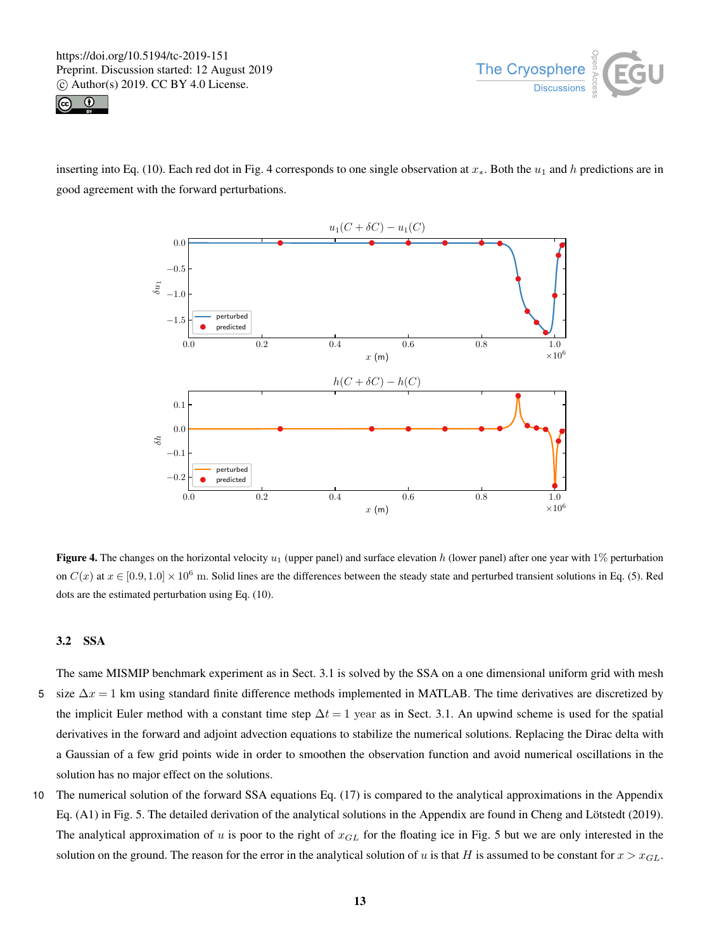



inserting into Eq. (10). Each red dot in Fig. 4 corresponds to one single observation at  $x_*$ . Both the  $u_1$  and h predictions are in good agreement with the forward perturbations.



Figure 4. The changes on the horizontal velocity  $u_1$  (upper panel) and surface elevation h (lower panel) after one year with 1% perturbation on  $C(x)$  at  $x \in [0.9, 1.0] \times 10^6$  m. Solid lines are the differences between the steady state and perturbed transient solutions in Eq. (5). Red dots are the estimated perturbation using Eq. (10).

# 3.2 SSA

The same MISMIP benchmark experiment as in Sect. 3.1 is solved by the SSA on a one dimensional uniform grid with mesh 5 size  $\Delta x = 1$  km using standard finite difference methods implemented in MATLAB. The time derivatives are discretized by the implicit Euler method with a constant time step  $\Delta t = 1$  year as in Sect. 3.1. An upwind scheme is used for the spatial derivatives in the forward and adjoint advection equations to stabilize the numerical solutions. Replacing the Dirac delta with a Gaussian of a few grid points wide in order to smoothen the observation function and avoid numerical oscillations in the solution has no major effect on the solutions.

10 The numerical solution of the forward SSA equations Eq. (17) is compared to the analytical approximations in the Appendix Eq. (A1) in Fig. 5. The detailed derivation of the analytical solutions in the Appendix are found in Cheng and Lötstedt (2019). The analytical approximation of u is poor to the right of  $x_{GL}$  for the floating ice in Fig. 5 but we are only interested in the solution on the ground. The reason for the error in the analytical solution of u is that H is assumed to be constant for  $x > x_{GL}$ .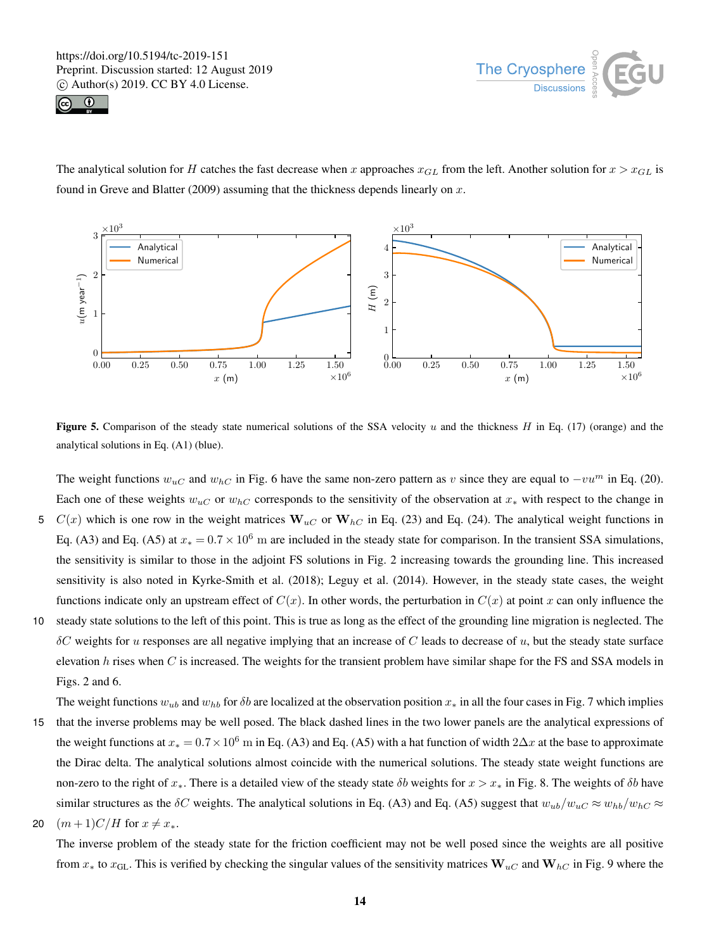



The analytical solution for H catches the fast decrease when x approaches  $x_{GL}$  from the left. Another solution for  $x > x_{GL}$  is found in Greve and Blatter (2009) assuming that the thickness depends linearly on  $x$ .



Figure 5. Comparison of the steady state numerical solutions of the SSA velocity  $u$  and the thickness  $H$  in Eq. (17) (orange) and the analytical solutions in Eq. (A1) (blue).

The weight functions  $w_{uC}$  and  $w_{hC}$  in Fig. 6 have the same non-zero pattern as v since they are equal to  $-vu^m$  in Eq. (20). Each one of these weights  $w_{uC}$  or  $w_{hC}$  corresponds to the sensitivity of the observation at  $x_*$  with respect to the change in 5  $C(x)$  which is one row in the weight matrices  $W_{uC}$  or  $W_{hC}$  in Eq. (23) and Eq. (24). The analytical weight functions in Eq. (A3) and Eq. (A5) at  $x_* = 0.7 \times 10^6$  m are included in the steady state for comparison. In the transient SSA simulations, the sensitivity is similar to those in the adjoint FS solutions in Fig. 2 increasing towards the grounding line. This increased sensitivity is also noted in Kyrke-Smith et al. (2018); Leguy et al. (2014). However, in the steady state cases, the weight functions indicate only an upstream effect of  $C(x)$ . In other words, the perturbation in  $C(x)$  at point x can only influence the

10 steady state solutions to the left of this point. This is true as long as the effect of the grounding line migration is neglected. The  $\delta C$  weights for u responses are all negative implying that an increase of C leads to decrease of u, but the steady state surface elevation h rises when C is increased. The weights for the transient problem have similar shape for the FS and SSA models in Figs. 2 and 6.

The weight functions  $w_{ub}$  and  $w_{hb}$  for  $\delta b$  are localized at the observation position  $x_*$  in all the four cases in Fig. 7 which implies 15 that the inverse problems may be well posed. The black dashed lines in the two lower panels are the analytical expressions of the weight functions at  $x_* = 0.7 \times 10^6$  m in Eq. (A3) and Eq. (A5) with a hat function of width  $2\Delta x$  at the base to approximate the Dirac delta. The analytical solutions almost coincide with the numerical solutions. The steady state weight functions are non-zero to the right of  $x_*$ . There is a detailed view of the steady state  $\delta b$  weights for  $x > x_*$  in Fig. 8. The weights of  $\delta b$  have similar structures as the  $\delta C$  weights. The analytical solutions in Eq. (A3) and Eq. (A5) suggest that  $w_{ub}/w_{uc} \approx w_{hb}/w_{hc} \approx$ 20  $(m+1)C/H$  for  $x \neq x_*$ .

The inverse problem of the steady state for the friction coefficient may not be well posed since the weights are all positive from  $x_*$  to  $x_{\text{GL}}$ . This is verified by checking the singular values of the sensitivity matrices  $\mathbf{W}_{u}$  and  $\mathbf{W}_{h}$  in Fig. 9 where the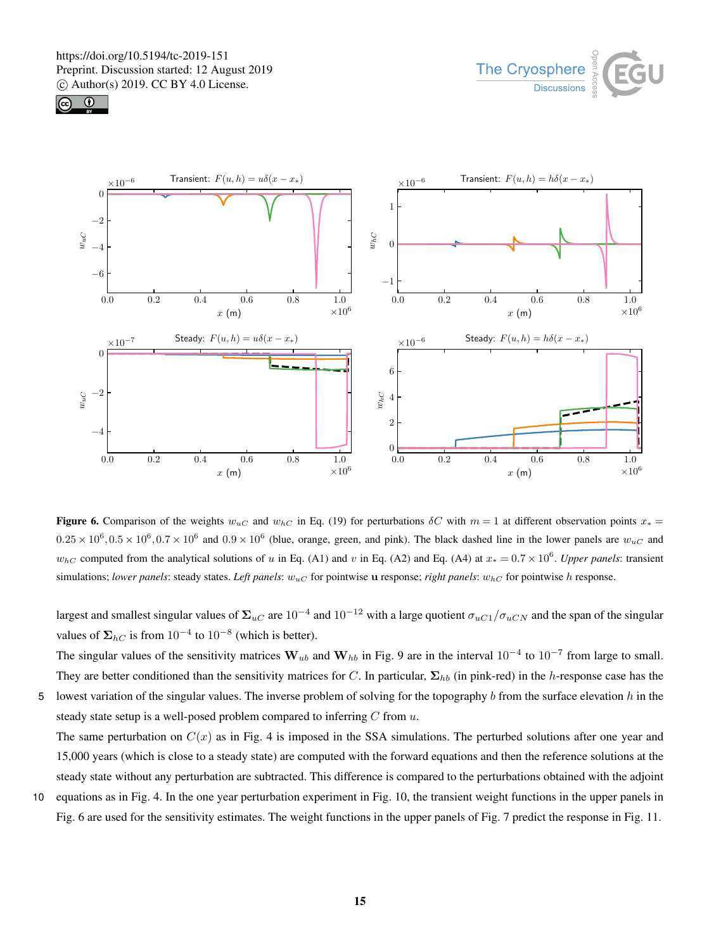





Figure 6. Comparison of the weights  $w_{uC}$  and  $w_{hC}$  in Eq. (19) for perturbations  $\delta C$  with  $m = 1$  at different observation points  $x_* =$  $0.25 \times 10^6$ ,  $0.5 \times 10^6$ ,  $0.7 \times 10^6$  and  $0.9 \times 10^6$  (blue, orange, green, and pink). The black dashed line in the lower panels are  $w_{uC}$  and  $w_{hC}$  computed from the analytical solutions of u in Eq. (A1) and v in Eq. (A2) and Eq. (A4) at  $x_* = 0.7 \times 10^6$ . *Upper panels*: transient simulations; *lower panels*: steady states. *Left panels*:  $w_{uC}$  for pointwise u response; *right panels*:  $w_{hC}$  for pointwise h response.

largest and smallest singular values of  $\Sigma_{uC}$  are  $10^{-4}$  and  $10^{-12}$  with a large quotient  $\sigma_{uC1}/\sigma_{uCN}$  and the span of the singular values of  $\Sigma_{hC}$  is from  $10^{-4}$  to  $10^{-8}$  (which is better).

The singular values of the sensitivity matrices  $W_{ub}$  and  $W_{hb}$  in Fig. 9 are in the interval  $10^{-4}$  to  $10^{-7}$  from large to small. They are better conditioned than the sensitivity matrices for C. In particular,  $\Sigma_{hb}$  (in pink-red) in the h-response case has the

5 lowest variation of the singular values. The inverse problem of solving for the topography  $b$  from the surface elevation  $h$  in the steady state setup is a well-posed problem compared to inferring  $C$  from  $u$ . The same perturbation on  $C(x)$  as in Fig. 4 is imposed in the SSA simulations. The perturbed solutions after one year and

15,000 years (which is close to a steady state) are computed with the forward equations and then the reference solutions at the steady state without any perturbation are subtracted. This difference is compared to the perturbations obtained with the adjoint

10 equations as in Fig. 4. In the one year perturbation experiment in Fig. 10, the transient weight functions in the upper panels in Fig. 6 are used for the sensitivity estimates. The weight functions in the upper panels of Fig. 7 predict the response in Fig. 11.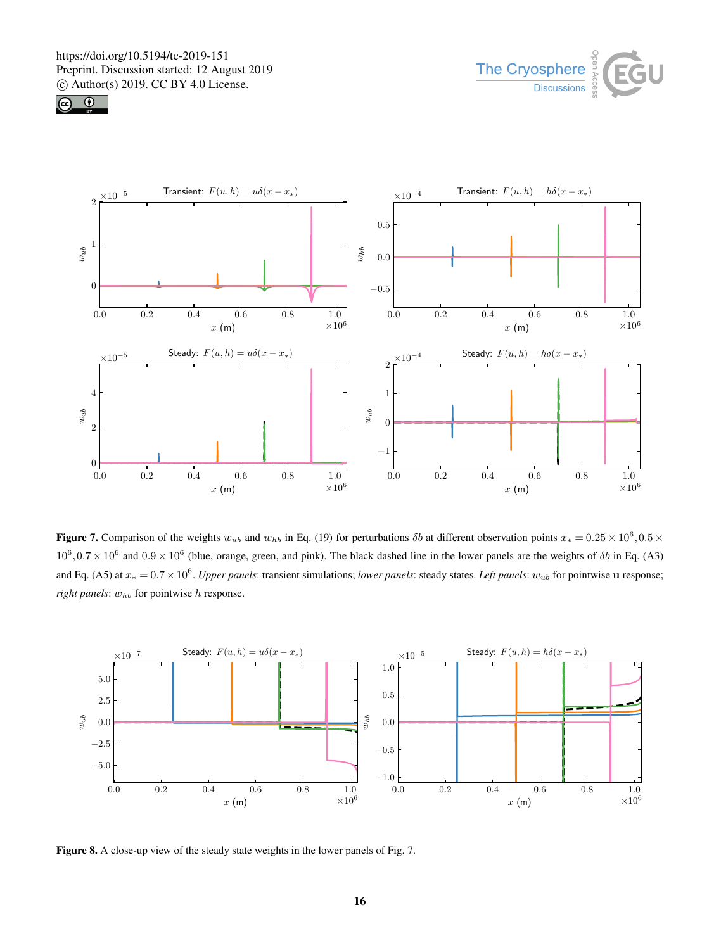





**Figure 7.** Comparison of the weights  $w_{ub}$  and  $w_{hb}$  in Eq. (19) for perturbations  $\delta b$  at different observation points  $x_* = 0.25 \times 10^6, 0.5 \times$  $10^6$ ,  $0.7 \times 10^6$  and  $0.9 \times 10^6$  (blue, orange, green, and pink). The black dashed line in the lower panels are the weights of  $\delta b$  in Eq. (A3) and Eq. (A5) at <sup>x</sup><sup>∗</sup> = 0.7×10<sup>6</sup> . *Upper panels*: transient simulations; *lower panels*: steady states. *Left panels*: wub for pointwise u response; *right panels*:  $w_{hb}$  for pointwise h response.



Figure 8. A close-up view of the steady state weights in the lower panels of Fig. 7.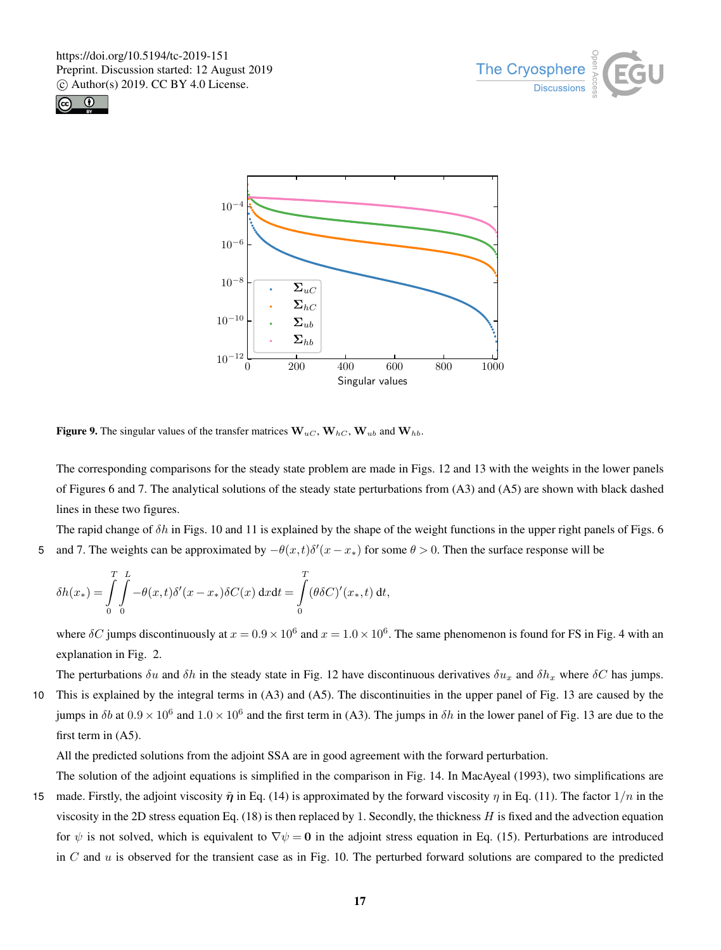





Figure 9. The singular values of the transfer matrices  $W_{uC}$ ,  $W_{hC}$ ,  $W_{ub}$  and  $W_{hb}$ .

The corresponding comparisons for the steady state problem are made in Figs. 12 and 13 with the weights in the lower panels of Figures 6 and 7. The analytical solutions of the steady state perturbations from (A3) and (A5) are shown with black dashed lines in these two figures.

The rapid change of  $\delta h$  in Figs. 10 and 11 is explained by the shape of the weight functions in the upper right panels of Figs. 6 5 and 7. The weights can be approximated by  $-\theta(x,t)\delta'(x-x_*)$  for some  $\theta > 0$ . Then the surface response will be

$$
\delta h(x_*) = \int\limits_0^T \int\limits_0^L -\theta(x,t)\delta'(x-x_*)\delta C(x) \, \mathrm{d}x \mathrm{d}t = \int\limits_0^T (\theta \delta C)'(x_*,t) \, \mathrm{d}t,
$$

where  $\delta C$  jumps discontinuously at  $x = 0.9 \times 10^6$  and  $x = 1.0 \times 10^6$ . The same phenomenon is found for FS in Fig. 4 with an explanation in Fig. 2.

The perturbations  $\delta u$  and  $\delta h$  in the steady state in Fig. 12 have discontinuous derivatives  $\delta u_x$  and  $\delta h_x$  where  $\delta C$  has jumps. 10 This is explained by the integral terms in (A3) and (A5). The discontinuities in the upper panel of Fig. 13 are caused by the jumps in  $\delta b$  at  $0.9 \times 10^6$  and  $1.0 \times 10^6$  and the first term in (A3). The jumps in  $\delta h$  in the lower panel of Fig. 13 are due to the first term in  $(A5)$ .

All the predicted solutions from the adjoint SSA are in good agreement with the forward perturbation.

The solution of the adjoint equations is simplified in the comparison in Fig. 14. In MacAyeal (1993), two simplifications are 15 made. Firstly, the adjoint viscosity  $\tilde{\eta}$  in Eq. (14) is approximated by the forward viscosity  $\eta$  in Eq. (11). The factor  $1/n$  in the viscosity in the 2D stress equation Eq. (18) is then replaced by 1. Secondly, the thickness H is fixed and the advection equation for  $\psi$  is not solved, which is equivalent to  $\nabla \psi = \mathbf{0}$  in the adjoint stress equation in Eq. (15). Perturbations are introduced in  $C$  and  $u$  is observed for the transient case as in Fig. 10. The perturbed forward solutions are compared to the predicted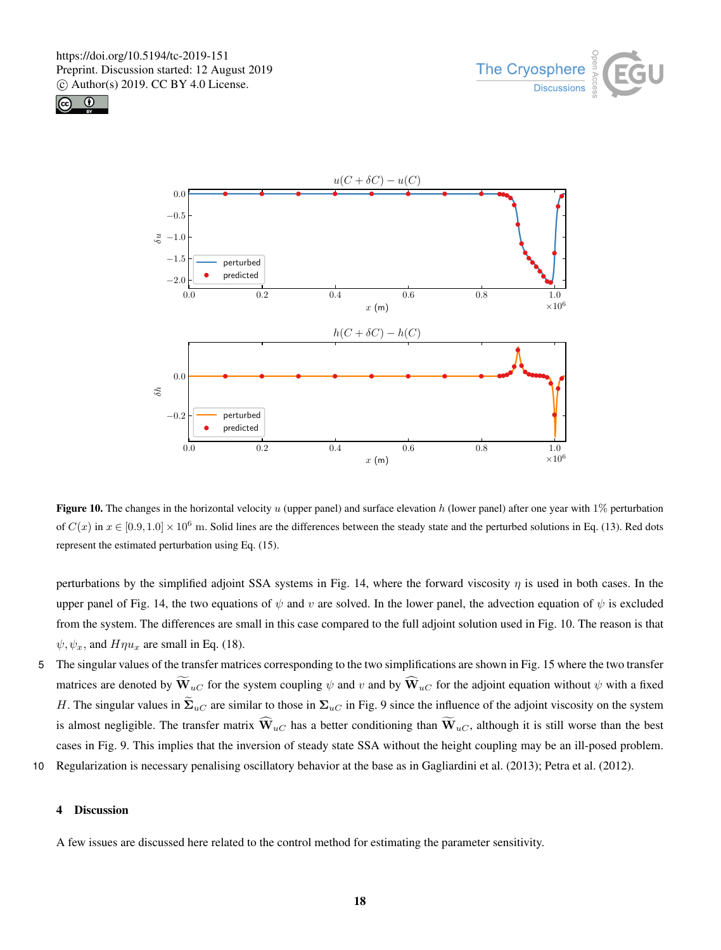





Figure 10. The changes in the horizontal velocity u (upper panel) and surface elevation h (lower panel) after one year with  $1\%$  perturbation of  $C(x)$  in  $x \in [0.9, 1.0] \times 10^6$  m. Solid lines are the differences between the steady state and the perturbed solutions in Eq. (13). Red dots represent the estimated perturbation using Eq. (15).

perturbations by the simplified adjoint SSA systems in Fig. 14, where the forward viscosity  $\eta$  is used in both cases. In the upper panel of Fig. 14, the two equations of  $\psi$  and v are solved. In the lower panel, the advection equation of  $\psi$  is excluded from the system. The differences are small in this case compared to the full adjoint solution used in Fig. 10. The reason is that  $\psi, \psi_x$ , and  $H\eta u_x$  are small in Eq. (18).

- 5 The singular values of the transfer matrices corresponding to the two simplifications are shown in Fig. 15 where the two transfer matrices are denoted by  $\widetilde{W}_{uC}$  for the system coupling  $\psi$  and v and by  $\widehat{W}_{uC}$  for the adjoint equation without  $\psi$  with a fixed H. The singular values in  $\tilde{\Sigma}_{uC}$  are similar to those in  $\Sigma_{uC}$  in Fig. 9 since the influence of the adjoint viscosity on the system is almost negligible. The transfer matrix  $\widehat{W}_{uC}$  has a better conditioning than  $\widetilde{W}_{uC}$ , although it is still worse than the best cases in Fig. 9. This implies that the inversion of steady state SSA without the height coupling may be an ill-posed problem.
- 10 Regularization is necessary penalising oscillatory behavior at the base as in Gagliardini et al. (2013); Petra et al. (2012).

# 4 Discussion

A few issues are discussed here related to the control method for estimating the parameter sensitivity.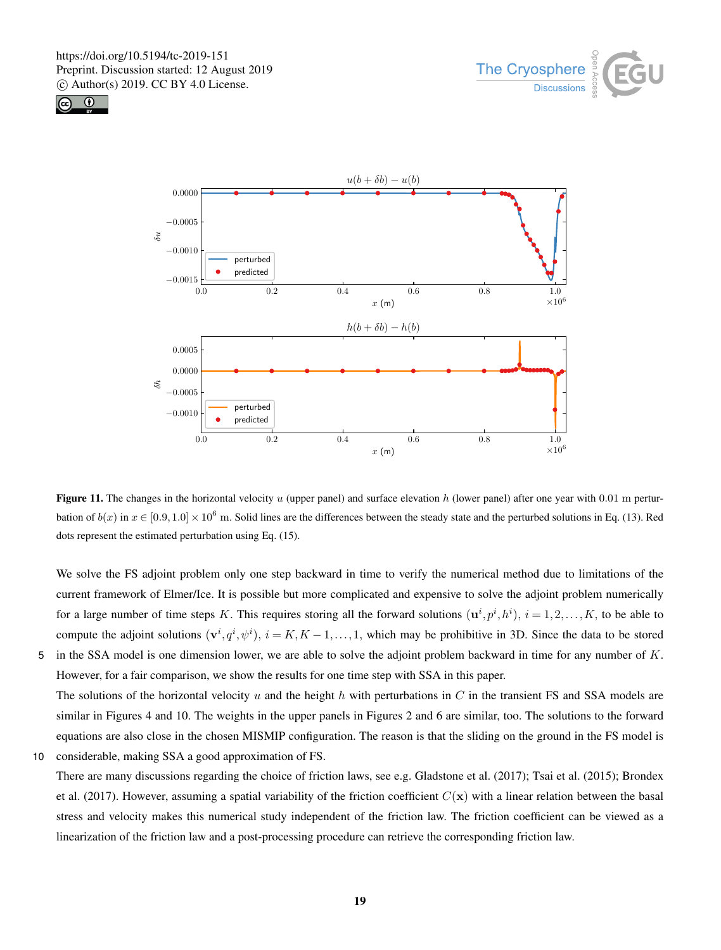





Figure 11. The changes in the horizontal velocity  $u$  (upper panel) and surface elevation  $h$  (lower panel) after one year with 0.01 m perturbation of  $b(x)$  in  $x \in [0.9, 1.0] \times 10^6$  m. Solid lines are the differences between the steady state and the perturbed solutions in Eq. (13). Red dots represent the estimated perturbation using Eq. (15).

We solve the FS adjoint problem only one step backward in time to verify the numerical method due to limitations of the current framework of Elmer/Ice. It is possible but more complicated and expensive to solve the adjoint problem numerically for a large number of time steps K. This requires storing all the forward solutions  $(\mathbf{u}^i, p^i, h^i)$ ,  $i = 1, 2, ..., K$ , to be able to compute the adjoint solutions  $(v^i, q^i, \psi^i)$ ,  $i = K, K - 1, ..., 1$ , which may be prohibitive in 3D. Since the data to be stored 5 in the SSA model is one dimension lower, we are able to solve the adjoint problem backward in time for any number of  $K$ .

However, for a fair comparison, we show the results for one time step with SSA in this paper. The solutions of the horizontal velocity u and the height h with perturbations in C in the transient FS and SSA models are similar in Figures 4 and 10. The weights in the upper panels in Figures 2 and 6 are similar, too. The solutions to the forward equations are also close in the chosen MISMIP configuration. The reason is that the sliding on the ground in the FS model is

10 considerable, making SSA a good approximation of FS.

There are many discussions regarding the choice of friction laws, see e.g. Gladstone et al. (2017); Tsai et al. (2015); Brondex et al. (2017). However, assuming a spatial variability of the friction coefficient  $C(\mathbf{x})$  with a linear relation between the basal stress and velocity makes this numerical study independent of the friction law. The friction coefficient can be viewed as a linearization of the friction law and a post-processing procedure can retrieve the corresponding friction law.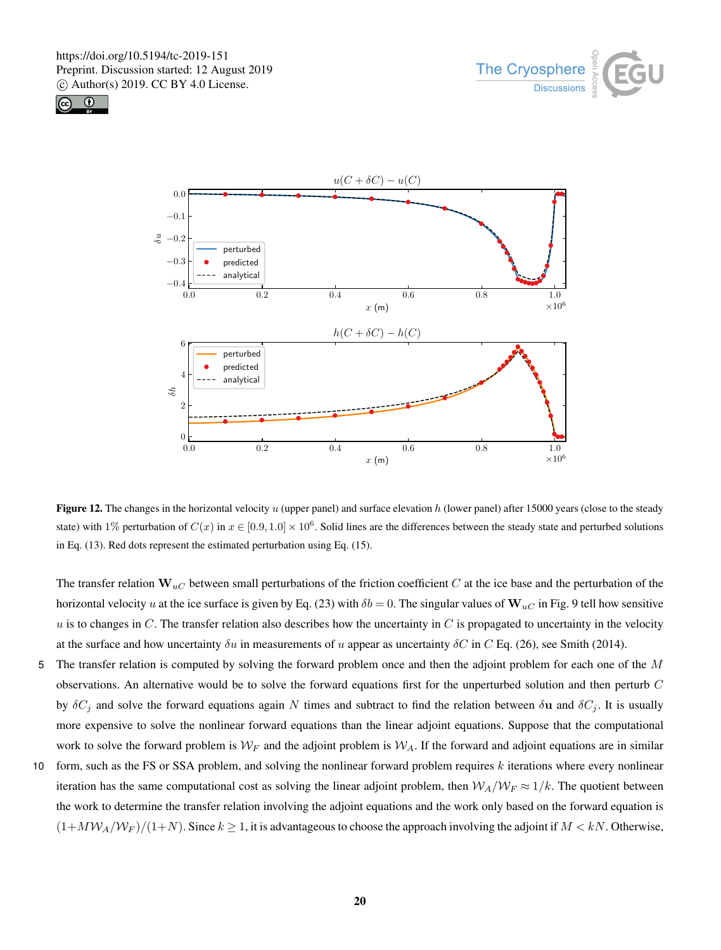





Figure 12. The changes in the horizontal velocity  $u$  (upper panel) and surface elevation  $h$  (lower panel) after 15000 years (close to the steady state) with 1% perturbation of  $C(x)$  in  $x \in [0.9, 1.0] \times 10^6$ . Solid lines are the differences between the steady state and perturbed solutions in Eq. (13). Red dots represent the estimated perturbation using Eq. (15).

The transfer relation  $\mathbf{W}_{uC}$  between small perturbations of the friction coefficient C at the ice base and the perturbation of the horizontal velocity u at the ice surface is given by Eq. (23) with  $\delta b = 0$ . The singular values of  $\mathbf{W}_{u}$  in Fig. 9 tell how sensitive  $u$  is to changes in C. The transfer relation also describes how the uncertainty in C is propagated to uncertainty in the velocity at the surface and how uncertainty  $\delta u$  in measurements of u appear as uncertainty  $\delta C$  in C Eq. (26), see Smith (2014).

- 5 The transfer relation is computed by solving the forward problem once and then the adjoint problem for each one of the M observations. An alternative would be to solve the forward equations first for the unperturbed solution and then perturb C by  $\delta C_j$  and solve the forward equations again N times and subtract to find the relation between  $\delta u$  and  $\delta C_j$ . It is usually more expensive to solve the nonlinear forward equations than the linear adjoint equations. Suppose that the computational work to solve the forward problem is  $W_F$  and the adjoint problem is  $W_A$ . If the forward and adjoint equations are in similar
- 10 form, such as the FS or SSA problem, and solving the nonlinear forward problem requires  $k$  iterations where every nonlinear iteration has the same computational cost as solving the linear adjoint problem, then  $W_A/W_F \approx 1/k$ . The quotient between the work to determine the transfer relation involving the adjoint equations and the work only based on the forward equation is  $(1+MW_A/W_F)/(1+N)$ . Since  $k \ge 1$ , it is advantageous to choose the approach involving the adjoint if  $M < kN$ . Otherwise,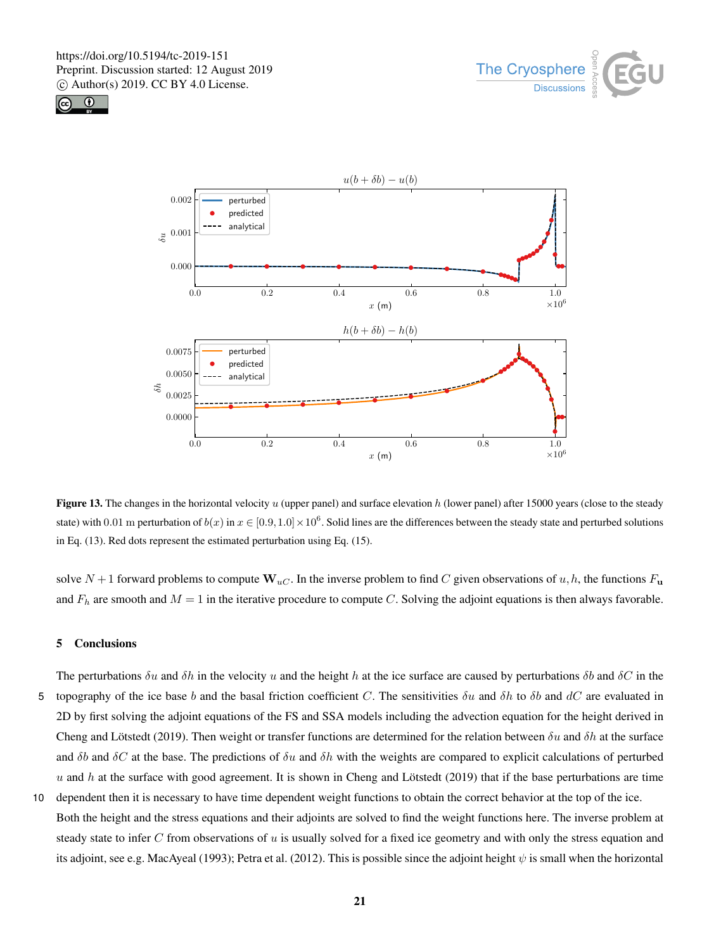





Figure 13. The changes in the horizontal velocity  $u$  (upper panel) and surface elevation  $h$  (lower panel) after 15000 years (close to the steady state) with 0.01 m perturbation of  $b(x)$  in  $x \in [0.9, 1.0] \times 10^6$ . Solid lines are the differences between the steady state and perturbed solutions in Eq. (13). Red dots represent the estimated perturbation using Eq. (15).

solve  $N+1$  forward problems to compute  $\mathbf{W}_{u,C}$ . In the inverse problem to find C given observations of u, h, the functions  $F_u$ and  $F_h$  are smooth and  $M = 1$  in the iterative procedure to compute C. Solving the adjoint equations is then always favorable.

## 5 Conclusions

- The perturbations  $\delta u$  and  $\delta h$  in the velocity u and the height h at the ice surface are caused by perturbations  $\delta b$  and  $\delta C$  in the 5 topography of the ice base b and the basal friction coefficient C. The sensitivities  $\delta u$  and  $\delta h$  to  $\delta b$  and dC are evaluated in 2D by first solving the adjoint equations of the FS and SSA models including the advection equation for the height derived in Cheng and Lötstedt (2019). Then weight or transfer functions are determined for the relation between  $\delta u$  and  $\delta h$  at the surface and  $\delta b$  and  $\delta C$  at the base. The predictions of  $\delta u$  and  $\delta h$  with the weights are compared to explicit calculations of perturbed  $u$  and h at the surface with good agreement. It is shown in Cheng and Lötstedt (2019) that if the base perturbations are time
- 10 dependent then it is necessary to have time dependent weight functions to obtain the correct behavior at the top of the ice. Both the height and the stress equations and their adjoints are solved to find the weight functions here. The inverse problem at steady state to infer  $C$  from observations of  $u$  is usually solved for a fixed ice geometry and with only the stress equation and its adjoint, see e.g. MacAyeal (1993); Petra et al. (2012). This is possible since the adjoint height  $\psi$  is small when the horizontal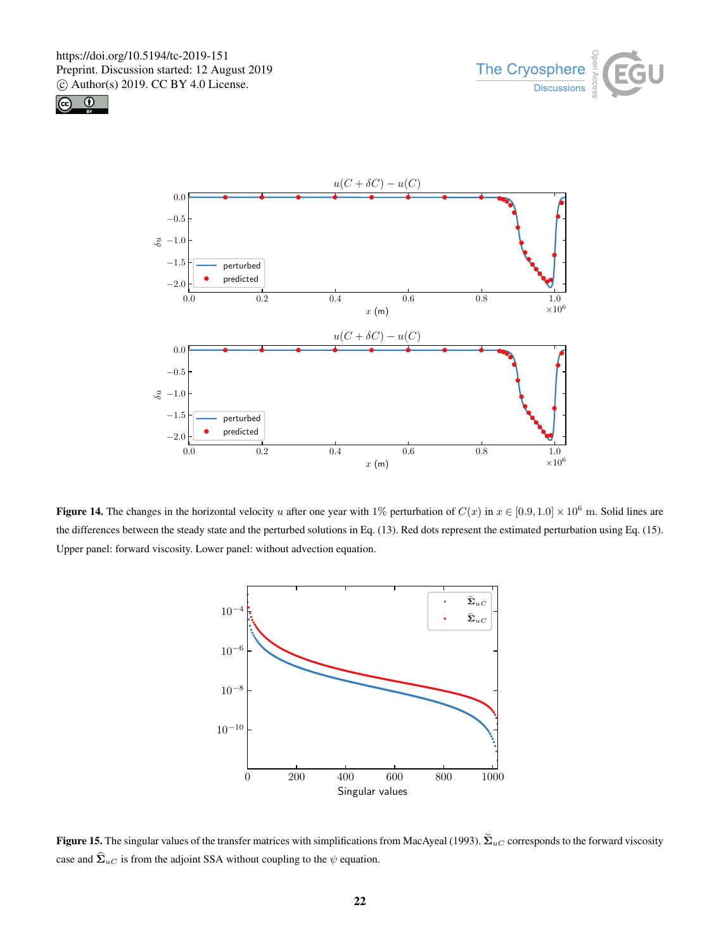





Figure 14. The changes in the horizontal velocity u after one year with 1% perturbation of  $C(x)$  in  $x \in [0.9, 1.0] \times 10^6$  m. Solid lines are the differences between the steady state and the perturbed solutions in Eq. (13). Red dots represent the estimated perturbation using Eq. (15). Upper panel: forward viscosity. Lower panel: without advection equation.



Figure 15. The singular values of the transfer matrices with simplifications from MacAyeal (1993).  $\widetilde{\Sigma}_{uC}$  corresponds to the forward viscosity case and  $\hat{\Sigma}_{uC}$  is from the adjoint SSA without coupling to the  $\psi$  equation.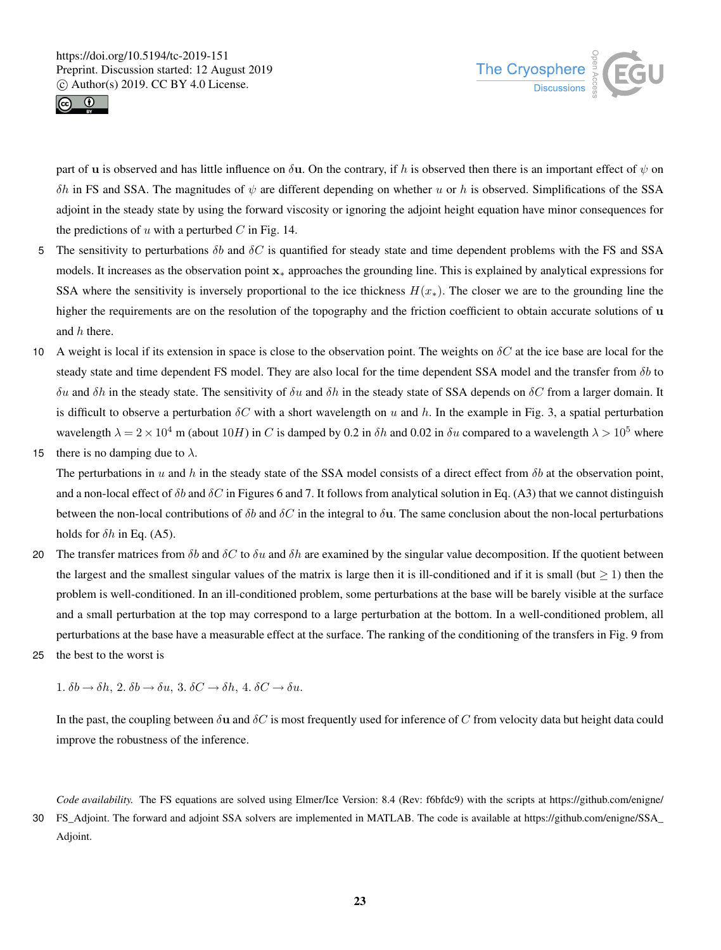



part of u is observed and has little influence on  $\delta$ u. On the contrary, if h is observed then there is an important effect of  $\psi$  on δh in FS and SSA. The magnitudes of  $ψ$  are different depending on whether u or h is observed. Simplifications of the SSA adjoint in the steady state by using the forward viscosity or ignoring the adjoint height equation have minor consequences for the predictions of  $u$  with a perturbed  $C$  in Fig. 14.

- 5 The sensitivity to perturbations  $\delta b$  and  $\delta C$  is quantified for steady state and time dependent problems with the FS and SSA models. It increases as the observation point x<sup>∗</sup> approaches the grounding line. This is explained by analytical expressions for SSA where the sensitivity is inversely proportional to the ice thickness  $H(x_*)$ . The closer we are to the grounding line the higher the requirements are on the resolution of the topography and the friction coefficient to obtain accurate solutions of u and h there.
- 10 A weight is local if its extension in space is close to the observation point. The weights on  $\delta C$  at the ice base are local for the steady state and time dependent FS model. They are also local for the time dependent SSA model and the transfer from  $\delta b$  to δu and δh in the steady state. The sensitivity of δu and δh in the steady state of SSA depends on δC from a larger domain. It is difficult to observe a perturbation  $\delta C$  with a short wavelength on u and h. In the example in Fig. 3, a spatial perturbation wavelength  $\lambda = 2 \times 10^4$  m (about 10H) in C is damped by 0.2 in  $\delta h$  and 0.02 in  $\delta u$  compared to a wavelength  $\lambda > 10^5$  where
- 15 there is no damping due to  $\lambda$ .

The perturbations in u and h in the steady state of the SSA model consists of a direct effect from  $\delta b$  at the observation point, and a non-local effect of  $\delta b$  and  $\delta C$  in Figures 6 and 7. It follows from analytical solution in Eq. (A3) that we cannot distinguish between the non-local contributions of  $\delta b$  and  $\delta C$  in the integral to  $\delta u$ . The same conclusion about the non-local perturbations holds for  $\delta h$  in Eq. (A5).

- 20 The transfer matrices from  $\delta b$  and  $\delta C$  to  $\delta u$  and  $\delta h$  are examined by the singular value decomposition. If the quotient between the largest and the smallest singular values of the matrix is large then it is ill-conditioned and if it is small (but  $\geq 1$ ) then the problem is well-conditioned. In an ill-conditioned problem, some perturbations at the base will be barely visible at the surface and a small perturbation at the top may correspond to a large perturbation at the bottom. In a well-conditioned problem, all perturbations at the base have a measurable effect at the surface. The ranking of the conditioning of the transfers in Fig. 9 from
- 25 the best to the worst is

1.  $\delta b \rightarrow \delta h$ , 2.  $\delta b \rightarrow \delta u$ , 3.  $\delta C \rightarrow \delta h$ , 4.  $\delta C \rightarrow \delta u$ .

In the past, the coupling between  $\delta u$  and  $\delta C$  is most frequently used for inference of C from velocity data but height data could improve the robustness of the inference.

*Code availability.* The FS equations are solved using Elmer/Ice Version: 8.4 (Rev: f6bfdc9) with the scripts at https://github.com/enigne/ 30 FS\_Adjoint. The forward and adjoint SSA solvers are implemented in MATLAB. The code is available at https://github.com/enigne/SSA\_ Adjoint.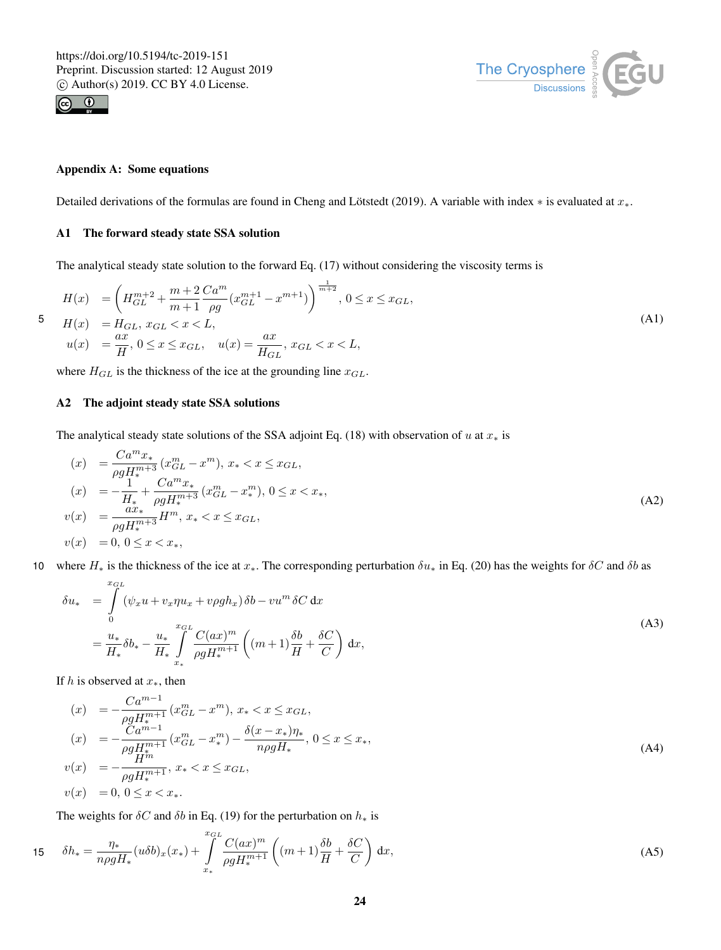



# Appendix A: Some equations

Detailed derivations of the formulas are found in Cheng and Lötstedt (2019). A variable with index ∗ is evaluated at  $x_*$ .

# A1 The forward steady state SSA solution

The analytical steady state solution to the forward Eq. (17) without considering the viscosity terms is

$$
H(x) = \left(H_{GL}^{m+2} + \frac{m+2}{m+1} \frac{Ca^m}{\rho g} (x_{GL}^{m+1} - x^{m+1})\right)^{\frac{1}{m+2}}, 0 \le x \le x_{GL},
$$
  
\n
$$
H(x) = H_{GL}, x_{GL} < x < L,
$$
  
\n
$$
u(x) = \frac{ax}{H}, 0 \le x \le x_{GL}, \quad u(x) = \frac{ax}{H_{GL}}, x_{GL} < x < L,
$$
  
\n(A1)

where  $H_{GL}$  is the thickness of the ice at the grounding line  $x_{GL}$ .

# A2 The adjoint steady state SSA solutions

The analytical steady state solutions of the SSA adjoint Eq. (18) with observation of u at  $x<sub>*</sub>$  is

$$
(x) = \frac{Ca^m x_*}{\rho g H_*^{m+3}} (x_{GL}^m - x^m), x_* < x \le x_{GL},
$$
  
\n
$$
(x) = -\frac{1}{H_*} + \frac{Ca^m x_*}{\rho g H_*^{m+3}} (x_{GL}^m - x_*^m), 0 \le x < x_*,
$$
  
\n
$$
v(x) = \frac{ax_*}{\rho g H_*^{m+3}} H^m, x_* < x \le x_{GL},
$$
  
\n
$$
v(x) = 0, 0 \le x < x_*,
$$
\n
$$
(A2)
$$

10 where  $H_*$  is the thickness of the ice at  $x_*$ . The corresponding perturbation  $\delta u_*$  in Eq. (20) has the weights for  $\delta C$  and  $\delta b$  as

$$
\delta u_* = \int_0^{x_{GL}} (\psi_x u + v_x \eta u_x + v \rho g h_x) \delta b - v u^m \delta C \, dx
$$
  
=  $\frac{u_*}{H_*} \delta b_* - \frac{u_*}{H_*} \int_{x_*}^{x_{GL}} \frac{C(ax)^m}{\rho g H_*^{m+1}} \left( (m+1) \frac{\delta b}{H} + \frac{\delta C}{C} \right) dx,$  (A3)

If h is observed at  $x_*,$  then

$$
(x) = -\frac{Ca^{m-1}}{\rho g H_{*}^{m+1}} (x_{GL}^{m} - x^{m}), x_{*} < x \leq x_{GL},
$$
  
\n
$$
(x) = -\frac{Ca^{m-1}}{\rho g H_{*}^{m+1}} (x_{GL}^{m} - x_{*}^{m}) - \frac{\delta(x - x_{*})\eta_{*}}{n\rho g H_{*}}, 0 \leq x \leq x_{*},
$$
  
\n
$$
v(x) = -\frac{H^{m}}{\rho g H_{*}^{m+1}}, x_{*} < x \leq x_{GL},
$$
  
\n
$$
v(x) = 0, 0 \leq x < x_{*}.
$$
  
\n(A4)

The weights for  $\delta C$  and  $\delta b$  in Eq. (19) for the perturbation on  $h_*$  is

$$
15 \qquad \delta h_* = \frac{\eta_*}{n\rho g H_*} (u\delta b)_x(x_*) + \int\limits_{x_*}^{x_{GL}} \frac{C(ax)^m}{\rho g H_*^{m+1}} \left( (m+1)\frac{\delta b}{H} + \frac{\delta C}{C} \right) dx,\tag{A5}
$$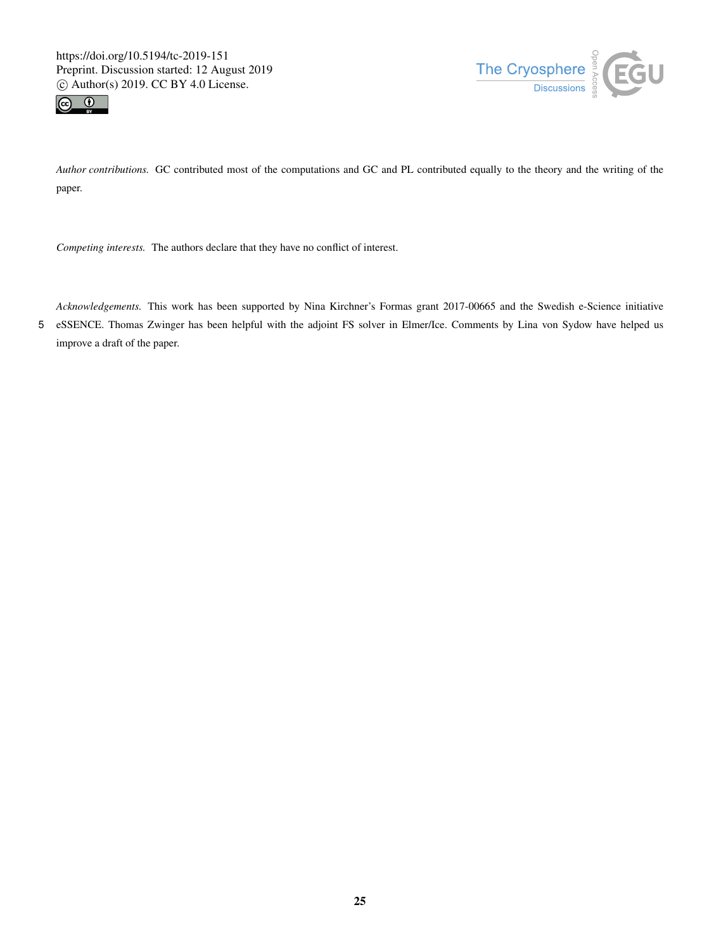



*Author contributions.* GC contributed most of the computations and GC and PL contributed equally to the theory and the writing of the paper.

*Competing interests.* The authors declare that they have no conflict of interest.

*Acknowledgements.* This work has been supported by Nina Kirchner's Formas grant 2017-00665 and the Swedish e-Science initiative 5 eSSENCE. Thomas Zwinger has been helpful with the adjoint FS solver in Elmer/Ice. Comments by Lina von Sydow have helped us improve a draft of the paper.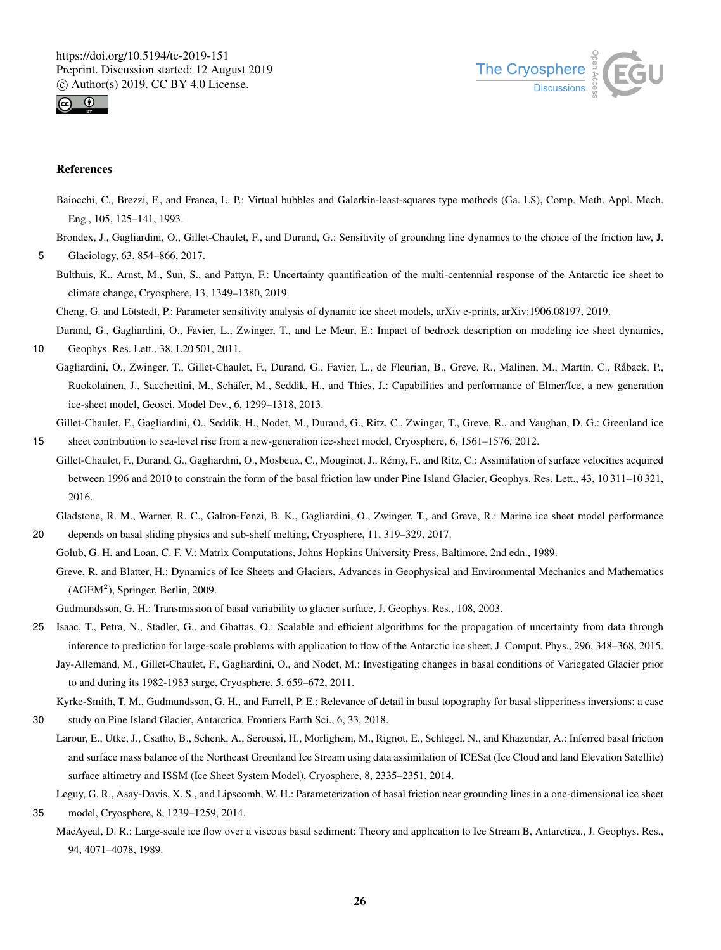



## References

- Baiocchi, C., Brezzi, F., and Franca, L. P.: Virtual bubbles and Galerkin-least-squares type methods (Ga. LS), Comp. Meth. Appl. Mech. Eng., 105, 125–141, 1993.
- Brondex, J., Gagliardini, O., Gillet-Chaulet, F., and Durand, G.: Sensitivity of grounding line dynamics to the choice of the friction law, J. 5 Glaciology, 63, 854–866, 2017.

Bulthuis, K., Arnst, M., Sun, S., and Pattyn, F.: Uncertainty quantification of the multi-centennial response of the Antarctic ice sheet to climate change, Cryosphere, 13, 1349–1380, 2019.

Cheng, G. and Lötstedt, P.: Parameter sensitivity analysis of dynamic ice sheet models, arXiv e-prints, arXiv:1906.08197, 2019.

Durand, G., Gagliardini, O., Favier, L., Zwinger, T., and Le Meur, E.: Impact of bedrock description on modeling ice sheet dynamics,

10 Geophys. Res. Lett., 38, L20 501, 2011.

Gagliardini, O., Zwinger, T., Gillet-Chaulet, F., Durand, G., Favier, L., de Fleurian, B., Greve, R., Malinen, M., Martín, C., Råback, P., Ruokolainen, J., Sacchettini, M., Schäfer, M., Seddik, H., and Thies, J.: Capabilities and performance of Elmer/Ice, a new generation ice-sheet model, Geosci. Model Dev., 6, 1299–1318, 2013.

Gillet-Chaulet, F., Gagliardini, O., Seddik, H., Nodet, M., Durand, G., Ritz, C., Zwinger, T., Greve, R., and Vaughan, D. G.: Greenland ice 15 sheet contribution to sea-level rise from a new-generation ice-sheet model, Cryosphere, 6, 1561–1576, 2012.

Gillet-Chaulet, F., Durand, G., Gagliardini, O., Mosbeux, C., Mouginot, J., Rémy, F., and Ritz, C.: Assimilation of surface velocities acquired between 1996 and 2010 to constrain the form of the basal friction law under Pine Island Glacier, Geophys. Res. Lett., 43, 10 311–10 321, 2016.

Gladstone, R. M., Warner, R. C., Galton-Fenzi, B. K., Gagliardini, O., Zwinger, T., and Greve, R.: Marine ice sheet model performance 20 depends on basal sliding physics and sub-shelf melting, Cryosphere, 11, 319–329, 2017.

Golub, G. H. and Loan, C. F. V.: Matrix Computations, Johns Hopkins University Press, Baltimore, 2nd edn., 1989.

Greve, R. and Blatter, H.: Dynamics of Ice Sheets and Glaciers, Advances in Geophysical and Environmental Mechanics and Mathematics  $(AGEM<sup>2</sup>)$ , Springer, Berlin, 2009.

Gudmundsson, G. H.: Transmission of basal variability to glacier surface, J. Geophys. Res., 108, 2003.

25 Isaac, T., Petra, N., Stadler, G., and Ghattas, O.: Scalable and efficient algorithms for the propagation of uncertainty from data through inference to prediction for large-scale problems with application to flow of the Antarctic ice sheet, J. Comput. Phys., 296, 348–368, 2015. Jay-Allemand, M., Gillet-Chaulet, F., Gagliardini, O., and Nodet, M.: Investigating changes in basal conditions of Variegated Glacier prior

to and during its 1982-1983 surge, Cryosphere, 5, 659–672, 2011.

Kyrke-Smith, T. M., Gudmundsson, G. H., and Farrell, P. E.: Relevance of detail in basal topography for basal slipperiness inversions: a case

30 study on Pine Island Glacier, Antarctica, Frontiers Earth Sci., 6, 33, 2018.

- Larour, E., Utke, J., Csatho, B., Schenk, A., Seroussi, H., Morlighem, M., Rignot, E., Schlegel, N., and Khazendar, A.: Inferred basal friction and surface mass balance of the Northeast Greenland Ice Stream using data assimilation of ICESat (Ice Cloud and land Elevation Satellite) surface altimetry and ISSM (Ice Sheet System Model), Cryosphere, 8, 2335–2351, 2014.
- Leguy, G. R., Asay-Davis, X. S., and Lipscomb, W. H.: Parameterization of basal friction near grounding lines in a one-dimensional ice sheet 35 model, Cryosphere, 8, 1239–1259, 2014.
	- MacAyeal, D. R.: Large-scale ice flow over a viscous basal sediment: Theory and application to Ice Stream B, Antarctica., J. Geophys. Res., 94, 4071–4078, 1989.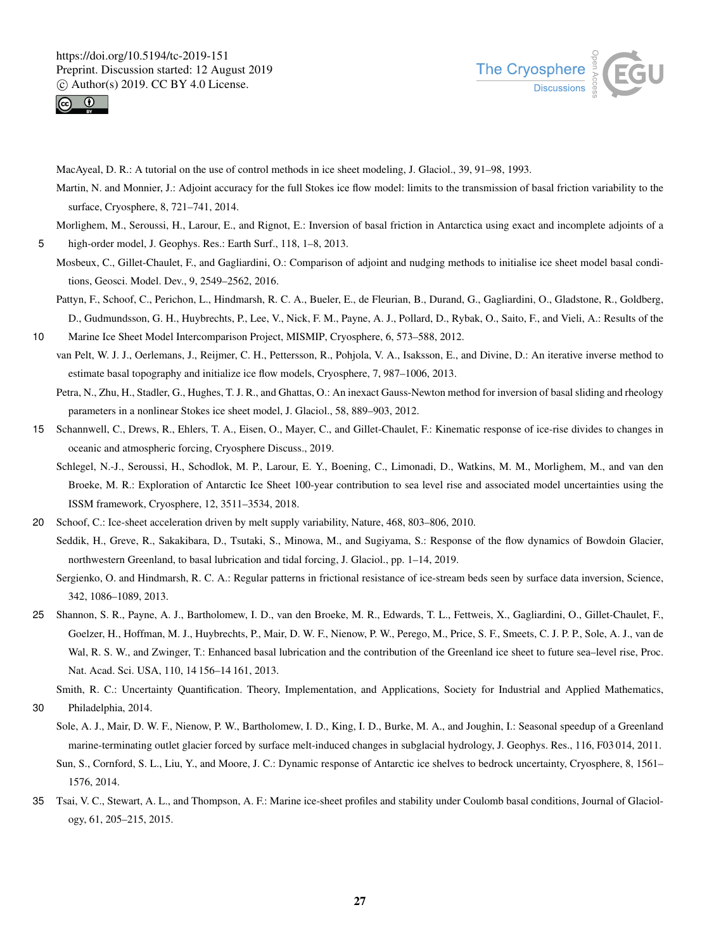



MacAyeal, D. R.: A tutorial on the use of control methods in ice sheet modeling, J. Glaciol., 39, 91–98, 1993.

Martin, N. and Monnier, J.: Adjoint accuracy for the full Stokes ice flow model: limits to the transmission of basal friction variability to the surface, Cryosphere, 8, 721–741, 2014.

Morlighem, M., Seroussi, H., Larour, E., and Rignot, E.: Inversion of basal friction in Antarctica using exact and incomplete adjoints of a 5 high-order model, J. Geophys. Res.: Earth Surf., 118, 1–8, 2013.

- Mosbeux, C., Gillet-Chaulet, F., and Gagliardini, O.: Comparison of adjoint and nudging methods to initialise ice sheet model basal conditions, Geosci. Model. Dev., 9, 2549–2562, 2016.
- Pattyn, F., Schoof, C., Perichon, L., Hindmarsh, R. C. A., Bueler, E., de Fleurian, B., Durand, G., Gagliardini, O., Gladstone, R., Goldberg, D., Gudmundsson, G. H., Huybrechts, P., Lee, V., Nick, F. M., Payne, A. J., Pollard, D., Rybak, O., Saito, F., and Vieli, A.: Results of the

10 Marine Ice Sheet Model Intercomparison Project, MISMIP, Cryosphere, 6, 573–588, 2012. van Pelt, W. J. J., Oerlemans, J., Reijmer, C. H., Pettersson, R., Pohjola, V. A., Isaksson, E., and Divine, D.: An iterative inverse method to estimate basal topography and initialize ice flow models, Cryosphere, 7, 987–1006, 2013.

Petra, N., Zhu, H., Stadler, G., Hughes, T. J. R., and Ghattas, O.: An inexact Gauss-Newton method for inversion of basal sliding and rheology parameters in a nonlinear Stokes ice sheet model, J. Glaciol., 58, 889–903, 2012.

- 15 Schannwell, C., Drews, R., Ehlers, T. A., Eisen, O., Mayer, C., and Gillet-Chaulet, F.: Kinematic response of ice-rise divides to changes in oceanic and atmospheric forcing, Cryosphere Discuss., 2019.
	- Schlegel, N.-J., Seroussi, H., Schodlok, M. P., Larour, E. Y., Boening, C., Limonadi, D., Watkins, M. M., Morlighem, M., and van den Broeke, M. R.: Exploration of Antarctic Ice Sheet 100-year contribution to sea level rise and associated model uncertainties using the ISSM framework, Cryosphere, 12, 3511–3534, 2018.
- 20 Schoof, C.: Ice-sheet acceleration driven by melt supply variability, Nature, 468, 803–806, 2010. Seddik, H., Greve, R., Sakakibara, D., Tsutaki, S., Minowa, M., and Sugiyama, S.: Response of the flow dynamics of Bowdoin Glacier, northwestern Greenland, to basal lubrication and tidal forcing, J. Glaciol., pp. 1–14, 2019.
	- Sergienko, O. and Hindmarsh, R. C. A.: Regular patterns in frictional resistance of ice-stream beds seen by surface data inversion, Science, 342, 1086–1089, 2013.
- 25 Shannon, S. R., Payne, A. J., Bartholomew, I. D., van den Broeke, M. R., Edwards, T. L., Fettweis, X., Gagliardini, O., Gillet-Chaulet, F., Goelzer, H., Hoffman, M. J., Huybrechts, P., Mair, D. W. F., Nienow, P. W., Perego, M., Price, S. F., Smeets, C. J. P. P., Sole, A. J., van de Wal, R. S. W., and Zwinger, T.: Enhanced basal lubrication and the contribution of the Greenland ice sheet to future sea–level rise, Proc. Nat. Acad. Sci. USA, 110, 14 156–14 161, 2013.

Smith, R. C.: Uncertainty Quantification. Theory, Implementation, and Applications, Society for Industrial and Applied Mathematics,

30 Philadelphia, 2014.

Sole, A. J., Mair, D. W. F., Nienow, P. W., Bartholomew, I. D., King, I. D., Burke, M. A., and Joughin, I.: Seasonal speedup of a Greenland marine-terminating outlet glacier forced by surface melt-induced changes in subglacial hydrology, J. Geophys. Res., 116, F03 014, 2011.

- Sun, S., Cornford, S. L., Liu, Y., and Moore, J. C.: Dynamic response of Antarctic ice shelves to bedrock uncertainty, Cryosphere, 8, 1561– 1576, 2014.
- 35 Tsai, V. C., Stewart, A. L., and Thompson, A. F.: Marine ice-sheet profiles and stability under Coulomb basal conditions, Journal of Glaciology, 61, 205–215, 2015.